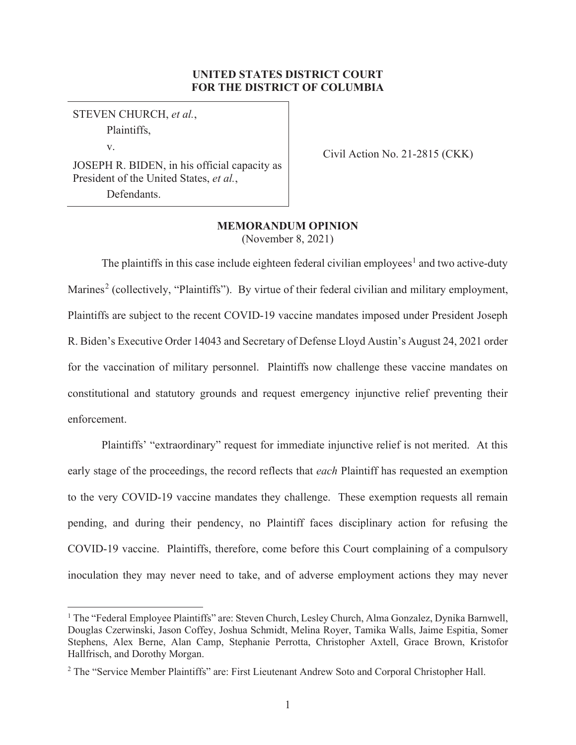# **UNITED STATES DISTRICT COURT FOR THE DISTRICT OF COLUMBIA**

# STEVEN CHURCH, *et al.*, Plaintiffs,

v.

JOSEPH R. BIDEN, in his official capacity as President of the United States, *et al.*, Defendants.

Civil Action No. 21-2815 (CKK)

# **MEMORANDUM OPINION**

(November 8, 2021)

The plaintiffs in this case include eighteen federal civilian employees<sup>1</sup> and two active-duty Marines<sup>2</sup> (collectively, "Plaintiffs"). By virtue of their federal civilian and military employment, Plaintiffs are subject to the recent COVID-19 vaccine mandates imposed under President Joseph R. Biden's Executive Order 14043 and Secretary of Defense Lloyd Austin's August 24, 2021 order for the vaccination of military personnel. Plaintiffs now challenge these vaccine mandates on constitutional and statutory grounds and request emergency injunctive relief preventing their enforcement.

 Plaintiffs' "extraordinary" request for immediate injunctive relief is not merited. At this early stage of the proceedings, the record reflects that *each* Plaintiff has requested an exemption to the very COVID-19 vaccine mandates they challenge. These exemption requests all remain pending, and during their pendency, no Plaintiff faces disciplinary action for refusing the COVID-19 vaccine. Plaintiffs, therefore, come before this Court complaining of a compulsory inoculation they may never need to take, and of adverse employment actions they may never

<sup>&</sup>lt;sup>1</sup> The "Federal Employee Plaintiffs" are: Steven Church, Lesley Church, Alma Gonzalez, Dynika Barnwell, Douglas Czerwinski, Jason Coffey, Joshua Schmidt, Melina Royer, Tamika Walls, Jaime Espitia, Somer Stephens, Alex Berne, Alan Camp, Stephanie Perrotta, Christopher Axtell, Grace Brown, Kristofor Hallfrisch, and Dorothy Morgan.

<sup>&</sup>lt;sup>2</sup> The "Service Member Plaintiffs" are: First Lieutenant Andrew Soto and Corporal Christopher Hall.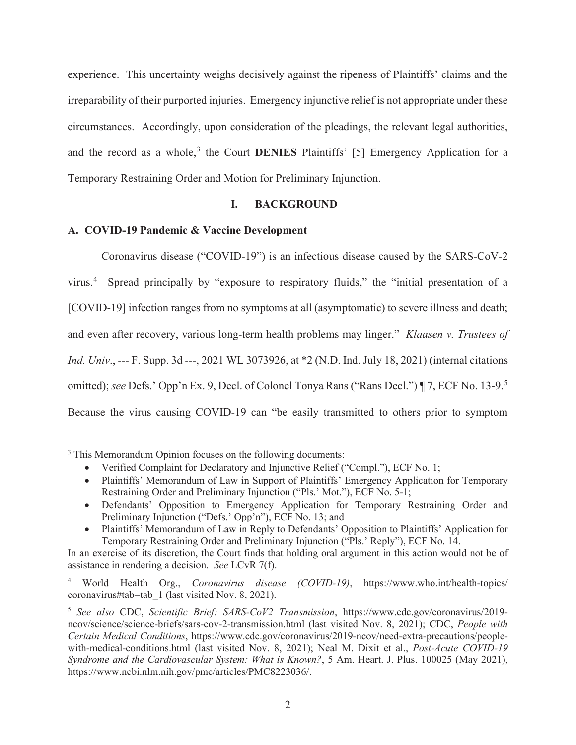experience. This uncertainty weighs decisively against the ripeness of Plaintiffs' claims and the irreparability of their purported injuries. Emergency injunctive relief is not appropriate under these circumstances.Accordingly, upon consideration of the pleadings, the relevant legal authorities, and the record as a whole,<sup>3</sup> the Court **DENIES** Plaintiffs' [5] Emergency Application for a Temporary Restraining Order and Motion for Preliminary Injunction.

# **I. BACKGROUND**

# **A. COVID-19 Pandemic & Vaccine Development**

Coronavirus disease ("COVID-19") is an infectious disease caused by the SARS-CoV-2 virus.<sup>4</sup> Spread principally by "exposure to respiratory fluids," the "initial presentation of a [COVID-19] infection ranges from no symptoms at all (asymptomatic) to severe illness and death; and even after recovery, various long-term health problems may linger." *Klaasen v. Trustees of Ind. Univ*., --- F. Supp. 3d ---, 2021 WL 3073926, at \*2 (N.D. Ind. July 18, 2021) (internal citations omitted); *see* Defs.' Opp'n Ex. 9, Decl. of Colonel Tonya Rans ("Rans Decl.") ¶ 7, ECF No. 13-9.<sup>5</sup> Because the virus causing COVID-19 can "be easily transmitted to others prior to symptom

<sup>&</sup>lt;sup>3</sup> This Memorandum Opinion focuses on the following documents:

<sup>•</sup> Verified Complaint for Declaratory and Injunctive Relief ("Compl."), ECF No. 1;

<sup>•</sup> Plaintiffs' Memorandum of Law in Support of Plaintiffs' Emergency Application for Temporary Restraining Order and Preliminary Injunction ("Pls.' Mot."), ECF No. 5-1;

<sup>•</sup> Defendants' Opposition to Emergency Application for Temporary Restraining Order and Preliminary Injunction ("Defs.' Opp'n"), ECF No. 13; and

<sup>•</sup> Plaintiffs' Memorandum of Law in Reply to Defendants' Opposition to Plaintiffs' Application for Temporary Restraining Order and Preliminary Injunction ("Pls.' Reply"), ECF No. 14.

In an exercise of its discretion, the Court finds that holding oral argument in this action would not be of assistance in rendering a decision. *See* LCvR 7(f).

<sup>4</sup> World Health Org., *Coronavirus disease (COVID-19)*, https://www.who.int/health-topics/ coronavirus#tab=tab\_1 (last visited Nov. 8, 2021).

<sup>5</sup> *See also* CDC, *Scientific Brief: SARS-CoV2 Transmission*, https://www.cdc.gov/coronavirus/2019 ncov/science/science-briefs/sars-cov-2-transmission.html (last visited Nov. 8, 2021); CDC, *People with Certain Medical Conditions*, https://www.cdc.gov/coronavirus/2019-ncov/need-extra-precautions/peoplewith-medical-conditions.html (last visited Nov. 8, 2021); Neal M. Dixit et al., *Post-Acute COVID-19 Syndrome and the Cardiovascular System: What is Known?*, 5 Am. Heart. J. Plus. 100025 (May 2021), https://www.ncbi.nlm.nih.gov/pmc/articles/PMC8223036/.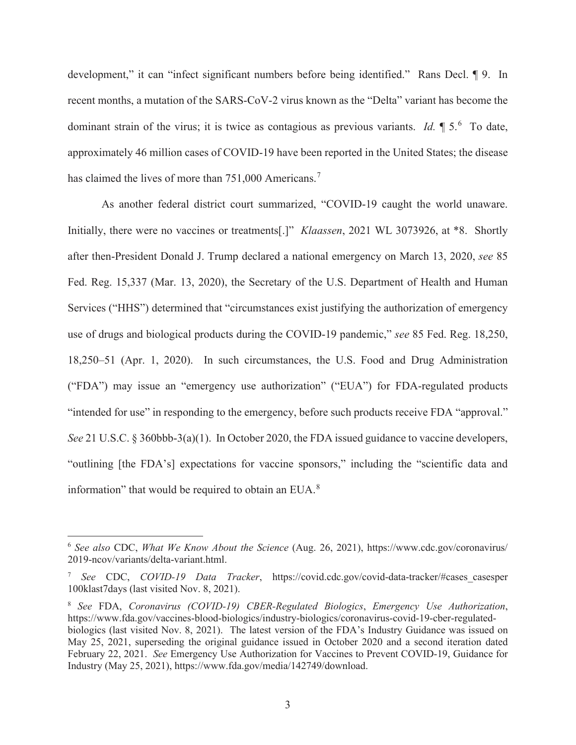development," it can "infect significant numbers before being identified." Rans Decl. ¶ 9. In recent months, a mutation of the SARS-CoV-2 virus known as the "Delta" variant has become the dominant strain of the virus; it is twice as contagious as previous variants. *Id.*  $\parallel 5$ . To date, approximately 46 million cases of COVID-19 have been reported in the United States; the disease has claimed the lives of more than 751,000 Americans.<sup>7</sup>

As another federal district court summarized, "COVID-19 caught the world unaware. Initially, there were no vaccines or treatments[.]" *Klaassen*, 2021 WL 3073926, at \*8. Shortly after then-President Donald J. Trump declared a national emergency on March 13, 2020, *see* 85 Fed. Reg. 15,337 (Mar. 13, 2020), the Secretary of the U.S. Department of Health and Human Services ("HHS") determined that "circumstances exist justifying the authorization of emergency use of drugs and biological products during the COVID-19 pandemic," *see* 85 Fed. Reg. 18,250, 18,250–51 (Apr. 1, 2020). In such circumstances, the U.S. Food and Drug Administration ("FDA") may issue an "emergency use authorization" ("EUA") for FDA-regulated products "intended for use" in responding to the emergency, before such products receive FDA "approval." *See* 21 U.S.C. § 360bbb-3(a)(1). In October 2020, the FDA issued guidance to vaccine developers, "outlining [the FDA's] expectations for vaccine sponsors," including the "scientific data and information" that would be required to obtain an EUA. $8$ 

<sup>6</sup> *See also* CDC, *What We Know About the Science* (Aug. 26, 2021), https://www.cdc.gov/coronavirus/ 2019-ncov/variants/delta-variant.html.

<sup>7</sup> *See* CDC, *COVID-19 Data Tracker*, https://covid.cdc.gov/covid-data-tracker/#cases\_casesper 100klast7days (last visited Nov. 8, 2021).

<sup>8</sup> *See* FDA, *Coronavirus (COVID-19) CBER-Regulated Biologics*, *Emergency Use Authorization*, https://www.fda.gov/vaccines-blood-biologics/industry-biologics/coronavirus-covid-19-cber-regulatedbiologics (last visited Nov. 8, 2021). The latest version of the FDA's Industry Guidance was issued on May 25, 2021, superseding the original guidance issued in October 2020 and a second iteration dated February 22, 2021. *See* Emergency Use Authorization for Vaccines to Prevent COVID-19, Guidance for Industry (May 25, 2021), https://www.fda.gov/media/142749/download.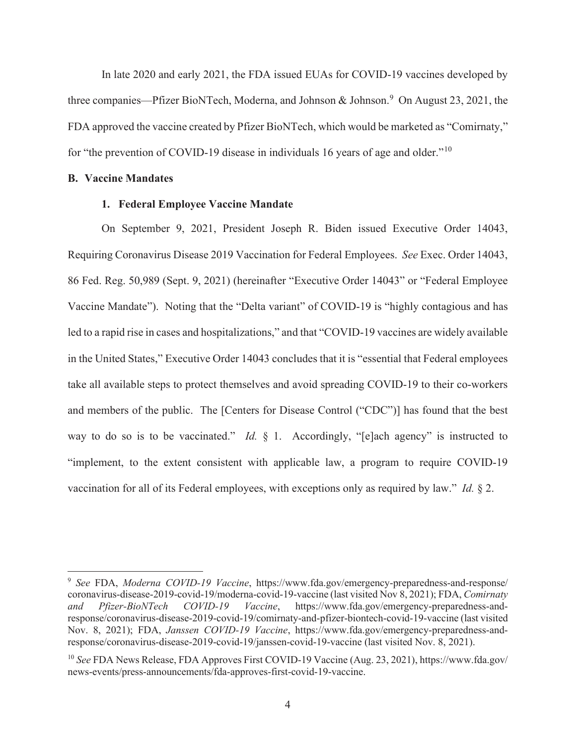In late 2020 and early 2021, the FDA issued EUAs for COVID-19 vaccines developed by three companies—Pfizer BioNTech, Moderna, and Johnson & Johnson.<sup>9</sup> On August 23, 2021, the FDA approved the vaccine created by Pfizer BioNTech, which would be marketed as "Comirnaty," for "the prevention of COVID-19 disease in individuals 16 years of age and older."10

# **B. Vaccine Mandates**

# **1. Federal Employee Vaccine Mandate**

On September 9, 2021, President Joseph R. Biden issued Executive Order 14043, Requiring Coronavirus Disease 2019 Vaccination for Federal Employees. *See* Exec. Order 14043, 86 Fed. Reg. 50,989 (Sept. 9, 2021) (hereinafter "Executive Order 14043" or "Federal Employee Vaccine Mandate"). Noting that the "Delta variant" of COVID-19 is "highly contagious and has led to a rapid rise in cases and hospitalizations," and that "COVID-19 vaccines are widely available in the United States," Executive Order 14043 concludes that it is "essential that Federal employees take all available steps to protect themselves and avoid spreading COVID-19 to their co-workers and members of the public. The [Centers for Disease Control ("CDC")] has found that the best way to do so is to be vaccinated." *Id.* § 1. Accordingly, "[e]ach agency" is instructed to "implement, to the extent consistent with applicable law, a program to require COVID-19 vaccination for all of its Federal employees, with exceptions only as required by law." *Id.* § 2.

<sup>9</sup> *See* FDA, *Moderna COVID-19 Vaccine*, https://www.fda.gov/emergency-preparedness-and-response/ coronavirus-disease-2019-covid-19/moderna-covid-19-vaccine (last visited Nov 8, 2021); FDA, *Comirnaty and Pfizer-BioNTech COVID-19 Vaccine*, https://www.fda.gov/emergency-preparedness-andresponse/coronavirus-disease-2019-covid-19/comirnaty-and-pfizer-biontech-covid-19-vaccine (last visited Nov. 8, 2021); FDA, *Janssen COVID-19 Vaccine*, https://www.fda.gov/emergency-preparedness-andresponse/coronavirus-disease-2019-covid-19/janssen-covid-19-vaccine (last visited Nov. 8, 2021).

<sup>10</sup> *See* FDA News Release, FDA Approves First COVID-19 Vaccine (Aug. 23, 2021), https://www.fda.gov/ news-events/press-announcements/fda-approves-first-covid-19-vaccine.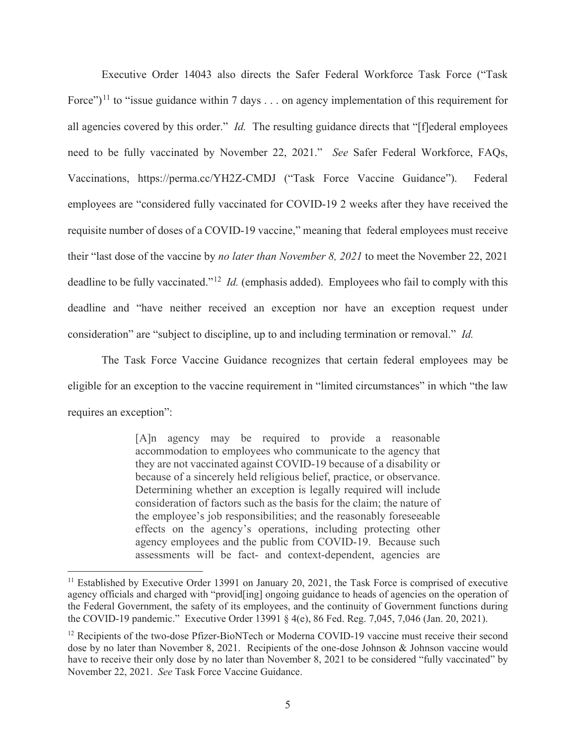Executive Order 14043 also directs the Safer Federal Workforce Task Force ("Task Force")<sup>11</sup> to "issue guidance within 7 days  $\dots$  on agency implementation of this requirement for all agencies covered by this order." *Id.* The resulting guidance directs that "[f]ederal employees need to be fully vaccinated by November 22, 2021." *See* Safer Federal Workforce, FAQs, Vaccinations, https://perma.cc/YH2Z-CMDJ ("Task Force Vaccine Guidance"). Federal employees are "considered fully vaccinated for COVID-19 2 weeks after they have received the requisite number of doses of a COVID-19 vaccine," meaning that federal employees must receive their "last dose of the vaccine by *no later than November 8, 2021* to meet the November 22, 2021 deadline to be fully vaccinated."12 *Id.* (emphasis added). Employees who fail to comply with this deadline and "have neither received an exception nor have an exception request under consideration" are "subject to discipline, up to and including termination or removal." *Id.*

The Task Force Vaccine Guidance recognizes that certain federal employees may be eligible for an exception to the vaccine requirement in "limited circumstances" in which "the law requires an exception":

> [A]n agency may be required to provide a reasonable accommodation to employees who communicate to the agency that they are not vaccinated against COVID-19 because of a disability or because of a sincerely held religious belief, practice, or observance. Determining whether an exception is legally required will include consideration of factors such as the basis for the claim; the nature of the employee's job responsibilities; and the reasonably foreseeable effects on the agency's operations, including protecting other agency employees and the public from COVID-19. Because such assessments will be fact- and context-dependent, agencies are

<sup>&</sup>lt;sup>11</sup> Established by Executive Order 13991 on January 20, 2021, the Task Force is comprised of executive agency officials and charged with "provid[ing] ongoing guidance to heads of agencies on the operation of the Federal Government, the safety of its employees, and the continuity of Government functions during the COVID-19 pandemic." Executive Order 13991 § 4(e), 86 Fed. Reg. 7,045, 7,046 (Jan. 20, 2021).

<sup>&</sup>lt;sup>12</sup> Recipients of the two-dose Pfizer-BioNTech or Moderna COVID-19 vaccine must receive their second dose by no later than November 8, 2021. Recipients of the one-dose Johnson & Johnson vaccine would have to receive their only dose by no later than November 8, 2021 to be considered "fully vaccinated" by November 22, 2021. *See* Task Force Vaccine Guidance.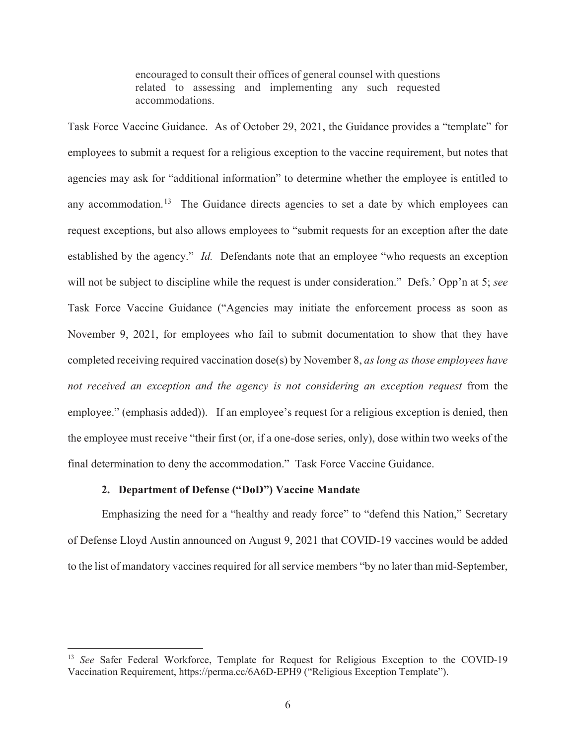encouraged to consult their offices of general counsel with questions related to assessing and implementing any such requested accommodations.

Task Force Vaccine Guidance. As of October 29, 2021, the Guidance provides a "template" for employees to submit a request for a religious exception to the vaccine requirement, but notes that agencies may ask for "additional information" to determine whether the employee is entitled to any accommodation.<sup>13</sup> The Guidance directs agencies to set a date by which employees can request exceptions, but also allows employees to "submit requests for an exception after the date established by the agency." *Id.* Defendants note that an employee "who requests an exception will not be subject to discipline while the request is under consideration." Defs.' Opp'n at 5; *see* Task Force Vaccine Guidance ("Agencies may initiate the enforcement process as soon as November 9, 2021, for employees who fail to submit documentation to show that they have completed receiving required vaccination dose(s) by November 8, *as long as those employees have not received an exception and the agency is not considering an exception request* from the employee." (emphasis added)). If an employee's request for a religious exception is denied, then the employee must receive "their first (or, if a one-dose series, only), dose within two weeks of the final determination to deny the accommodation." Task Force Vaccine Guidance.

# **2. Department of Defense ("DoD") Vaccine Mandate**

Emphasizing the need for a "healthy and ready force" to "defend this Nation," Secretary of Defense Lloyd Austin announced on August 9, 2021 that COVID-19 vaccines would be added to the list of mandatory vaccines required for all service members "by no later than mid-September,

<sup>&</sup>lt;sup>13</sup> *See* Safer Federal Workforce, Template for Request for Religious Exception to the COVID-19 Vaccination Requirement, https://perma.cc/6A6D-EPH9 ("Religious Exception Template").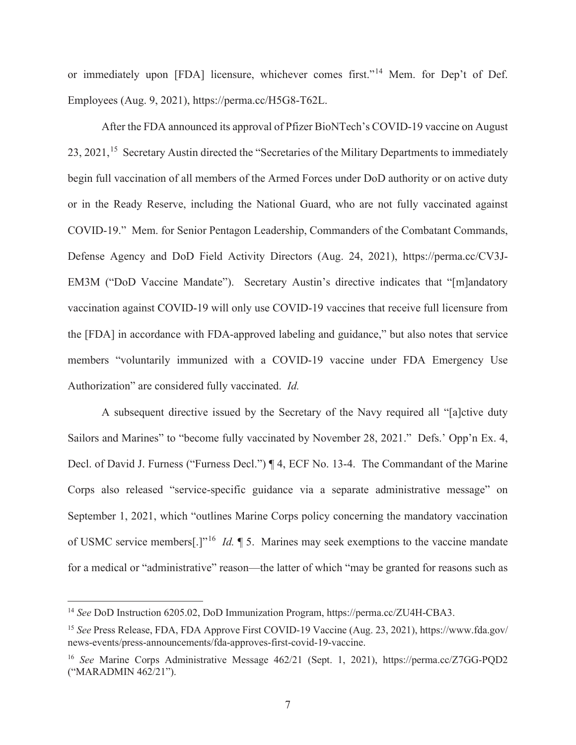or immediately upon [FDA] licensure, whichever comes first."14 Mem. for Dep't of Def. Employees (Aug. 9, 2021), https://perma.cc/H5G8-T62L.

 After the FDA announced its approval of Pfizer BioNTech's COVID-19 vaccine on August 23, 2021,<sup>15</sup> Secretary Austin directed the "Secretaries of the Military Departments to immediately begin full vaccination of all members of the Armed Forces under DoD authority or on active duty or in the Ready Reserve, including the National Guard, who are not fully vaccinated against COVID-19." Mem. for Senior Pentagon Leadership, Commanders of the Combatant Commands, Defense Agency and DoD Field Activity Directors (Aug. 24, 2021), https://perma.cc/CV3J-EM3M ("DoD Vaccine Mandate"). Secretary Austin's directive indicates that "[m]andatory vaccination against COVID-19 will only use COVID-19 vaccines that receive full licensure from the [FDA] in accordance with FDA-approved labeling and guidance," but also notes that service members "voluntarily immunized with a COVID-19 vaccine under FDA Emergency Use Authorization" are considered fully vaccinated. *Id.*

A subsequent directive issued by the Secretary of the Navy required all "[a]ctive duty Sailors and Marines" to "become fully vaccinated by November 28, 2021." Defs.' Opp'n Ex. 4, Decl. of David J. Furness ("Furness Decl.") ¶ 4, ECF No. 13-4. The Commandant of the Marine Corps also released "service-specific guidance via a separate administrative message" on September 1, 2021, which "outlines Marine Corps policy concerning the mandatory vaccination of USMC service members[.]"16 *Id.* ¶ 5. Marines may seek exemptions to the vaccine mandate for a medical or "administrative" reason—the latter of which "may be granted for reasons such as

<sup>14</sup> *See* DoD Instruction 6205.02, DoD Immunization Program, https://perma.cc/ZU4H-CBA3.

<sup>15</sup> *See* Press Release, FDA, FDA Approve First COVID-19 Vaccine (Aug. 23, 2021), https://www.fda.gov/ news-events/press-announcements/fda-approves-first-covid-19-vaccine.

<sup>16</sup> *See* Marine Corps Administrative Message 462/21 (Sept. 1, 2021), https://perma.cc/Z7GG-PQD2 ("MARADMIN 462/21").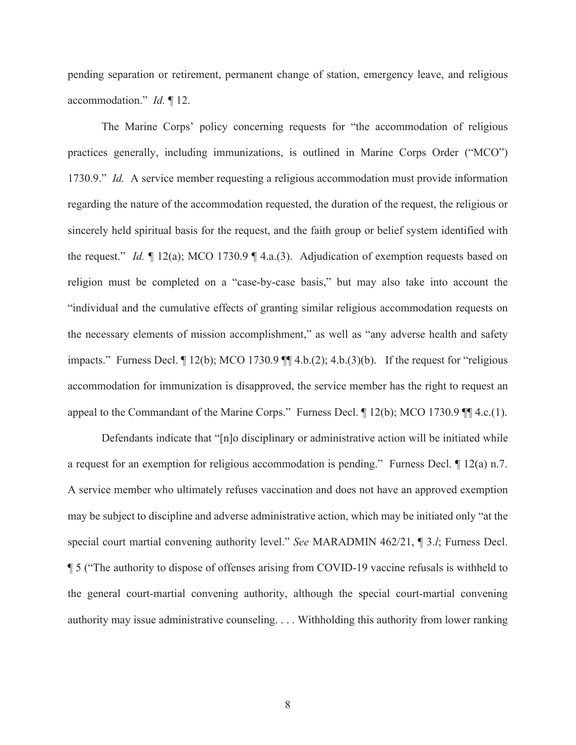pending separation or retirement, permanent change of station, emergency leave, and religious accommodation." *Id.* ¶ 12.

The Marine Corps' policy concerning requests for "the accommodation of religious practices generally, including immunizations, is outlined in Marine Corps Order ("MCO") 1730.9." *Id.* A service member requesting a religious accommodation must provide information regarding the nature of the accommodation requested, the duration of the request, the religious or sincerely held spiritual basis for the request, and the faith group or belief system identified with the request." *Id.* ¶ 12(a); MCO 1730.9 ¶ 4.a.(3). Adjudication of exemption requests based on religion must be completed on a "case-by-case basis," but may also take into account the "individual and the cumulative effects of granting similar religious accommodation requests on the necessary elements of mission accomplishment," as well as "any adverse health and safety impacts." Furness Decl. ¶ 12(b); MCO 1730.9 ¶¶ 4.b.(2); 4.b.(3)(b). If the request for "religious accommodation for immunization is disapproved, the service member has the right to request an appeal to the Commandant of the Marine Corps." Furness Decl. ¶ 12(b); MCO 1730.9 ¶¶ 4.c.(1).

Defendants indicate that "[n]o disciplinary or administrative action will be initiated while a request for an exemption for religious accommodation is pending." Furness Decl.  $\P$  12(a) n.7. A service member who ultimately refuses vaccination and does not have an approved exemption may be subject to discipline and adverse administrative action, which may be initiated only "at the special court martial convening authority level." *See* MARADMIN 462/21, ¶ 3.*l*; Furness Decl. ¶ 5 ("The authority to dispose of offenses arising from COVID-19 vaccine refusals is withheld to the general court-martial convening authority, although the special court-martial convening authority may issue administrative counseling. . . . Withholding this authority from lower ranking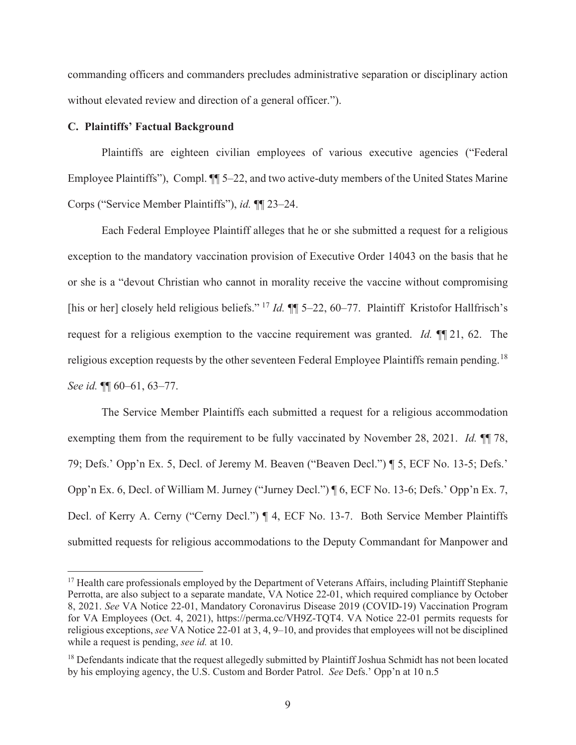commanding officers and commanders precludes administrative separation or disciplinary action without elevated review and direction of a general officer.").

# **C. Plaintiffs' Factual Background**

Plaintiffs are eighteen civilian employees of various executive agencies ("Federal Employee Plaintiffs"), Compl. ¶¶ 5–22, and two active-duty members of the United States Marine Corps ("Service Member Plaintiffs"), *id.* ¶¶ 23–24.

Each Federal Employee Plaintiff alleges that he or she submitted a request for a religious exception to the mandatory vaccination provision of Executive Order 14043 on the basis that he or she is a "devout Christian who cannot in morality receive the vaccine without compromising [his or her] closely held religious beliefs." 17 *Id.* ¶¶ 5–22, 60–77. Plaintiff Kristofor Hallfrisch's request for a religious exemption to the vaccine requirement was granted. *Id.* ¶¶ 21, 62. The religious exception requests by the other seventeen Federal Employee Plaintiffs remain pending.<sup>18</sup> *See id.* ¶¶ 60–61, 63–77.

The Service Member Plaintiffs each submitted a request for a religious accommodation exempting them from the requirement to be fully vaccinated by November 28, 2021. *Id.* ¶¶ 78, 79; Defs.' Opp'n Ex. 5, Decl. of Jeremy M. Beaven ("Beaven Decl.") ¶ 5, ECF No. 13-5; Defs.' Opp'n Ex. 6, Decl. of William M. Jurney ("Jurney Decl.") ¶ 6, ECF No. 13-6; Defs.' Opp'n Ex. 7, Decl. of Kerry A. Cerny ("Cerny Decl.") ¶ 4, ECF No. 13-7. Both Service Member Plaintiffs submitted requests for religious accommodations to the Deputy Commandant for Manpower and

<sup>&</sup>lt;sup>17</sup> Health care professionals employed by the Department of Veterans Affairs, including Plaintiff Stephanie Perrotta, are also subject to a separate mandate, VA Notice 22-01, which required compliance by October 8, 2021. *See* VA Notice 22-01, Mandatory Coronavirus Disease 2019 (COVID-19) Vaccination Program for VA Employees (Oct. 4, 2021), https://perma.cc/VH9Z-TQT4. VA Notice 22-01 permits requests for religious exceptions, *see* VA Notice 22-01 at 3, 4, 9–10, and provides that employees will not be disciplined while a request is pending, *see id.* at 10.

<sup>&</sup>lt;sup>18</sup> Defendants indicate that the request allegedly submitted by Plaintiff Joshua Schmidt has not been located by his employing agency, the U.S. Custom and Border Patrol. *See* Defs.' Opp'n at 10 n.5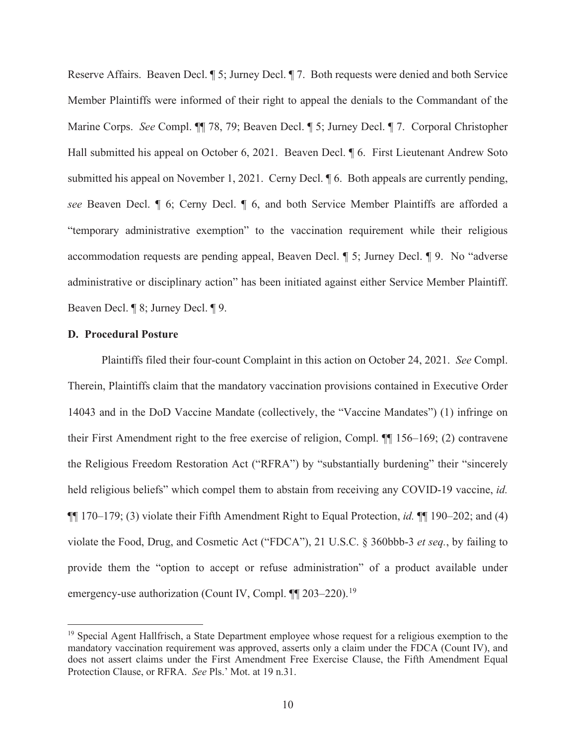Reserve Affairs. Beaven Decl. ¶ 5; Jurney Decl. ¶ 7. Both requests were denied and both Service Member Plaintiffs were informed of their right to appeal the denials to the Commandant of the Marine Corps. *See* Compl. ¶¶ 78, 79; Beaven Decl. ¶ 5; Jurney Decl. ¶ 7. Corporal Christopher Hall submitted his appeal on October 6, 2021. Beaven Decl. ¶ 6. First Lieutenant Andrew Soto submitted his appeal on November 1, 2021. Cerny Decl. ¶ 6. Both appeals are currently pending, *see* Beaven Decl. ¶ 6; Cerny Decl. ¶ 6, and both Service Member Plaintiffs are afforded a "temporary administrative exemption" to the vaccination requirement while their religious accommodation requests are pending appeal, Beaven Decl. ¶ 5; Jurney Decl. ¶ 9. No "adverse administrative or disciplinary action" has been initiated against either Service Member Plaintiff. Beaven Decl. ¶ 8; Jurney Decl. ¶ 9.

#### **D. Procedural Posture**

Plaintiffs filed their four-count Complaint in this action on October 24, 2021. *See* Compl. Therein, Plaintiffs claim that the mandatory vaccination provisions contained in Executive Order 14043 and in the DoD Vaccine Mandate (collectively, the "Vaccine Mandates") (1) infringe on their First Amendment right to the free exercise of religion, Compl. ¶¶ 156–169; (2) contravene the Religious Freedom Restoration Act ("RFRA") by "substantially burdening" their "sincerely held religious beliefs" which compel them to abstain from receiving any COVID-19 vaccine, *id.* ¶¶ 170–179; (3) violate their Fifth Amendment Right to Equal Protection, *id.* ¶¶ 190–202; and (4) violate the Food, Drug, and Cosmetic Act ("FDCA"), 21 U.S.C. § 360bbb-3 *et seq.*, by failing to provide them the "option to accept or refuse administration" of a product available under emergency-use authorization (Count IV, Compl.  $\P$  203–220).<sup>19</sup>

<sup>&</sup>lt;sup>19</sup> Special Agent Hallfrisch, a State Department employee whose request for a religious exemption to the mandatory vaccination requirement was approved, asserts only a claim under the FDCA (Count IV), and does not assert claims under the First Amendment Free Exercise Clause, the Fifth Amendment Equal Protection Clause, or RFRA. *See* Pls.' Mot. at 19 n.31.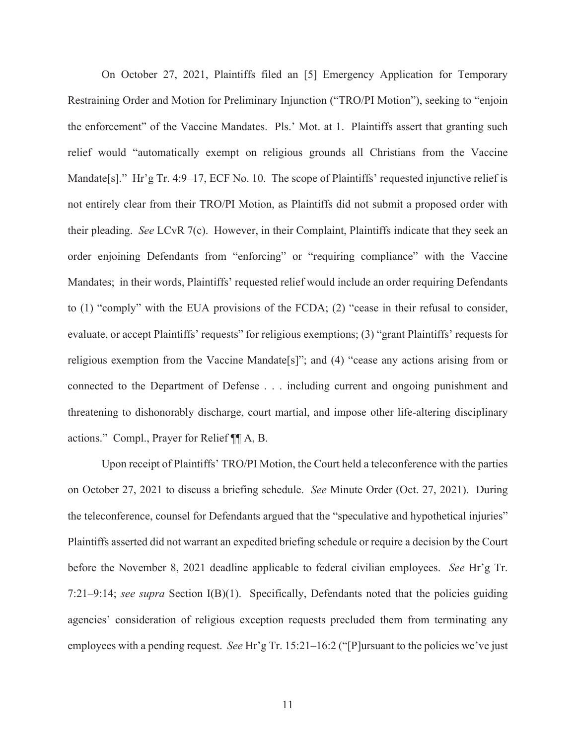On October 27, 2021, Plaintiffs filed an [5] Emergency Application for Temporary Restraining Order and Motion for Preliminary Injunction ("TRO/PI Motion"), seeking to "enjoin the enforcement" of the Vaccine Mandates. Pls.' Mot. at 1. Plaintiffs assert that granting such relief would "automatically exempt on religious grounds all Christians from the Vaccine Mandate[s]." Hr'g Tr. 4:9–17, ECF No. 10. The scope of Plaintiffs' requested injunctive relief is not entirely clear from their TRO/PI Motion, as Plaintiffs did not submit a proposed order with their pleading. *See* LCvR 7(c). However, in their Complaint, Plaintiffs indicate that they seek an order enjoining Defendants from "enforcing" or "requiring compliance" with the Vaccine Mandates; in their words, Plaintiffs' requested relief would include an order requiring Defendants to (1) "comply" with the EUA provisions of the FCDA; (2) "cease in their refusal to consider, evaluate, or accept Plaintiffs' requests" for religious exemptions; (3) "grant Plaintiffs' requests for religious exemption from the Vaccine Mandate [s]"; and  $(4)$  "cease any actions arising from or connected to the Department of Defense . . . including current and ongoing punishment and threatening to dishonorably discharge, court martial, and impose other life-altering disciplinary actions." Compl., Prayer for Relief ¶¶ A, B.

Upon receipt of Plaintiffs' TRO/PI Motion, the Court held a teleconference with the parties on October 27, 2021 to discuss a briefing schedule. *See* Minute Order (Oct. 27, 2021). During the teleconference, counsel for Defendants argued that the "speculative and hypothetical injuries" Plaintiffs asserted did not warrant an expedited briefing schedule or require a decision by the Court before the November 8, 2021 deadline applicable to federal civilian employees. *See* Hr'g Tr. 7:21–9:14; *see supra* Section I(B)(1). Specifically, Defendants noted that the policies guiding agencies' consideration of religious exception requests precluded them from terminating any employees with a pending request. *See* Hr'g Tr. 15:21–16:2 ("[P]ursuant to the policies we've just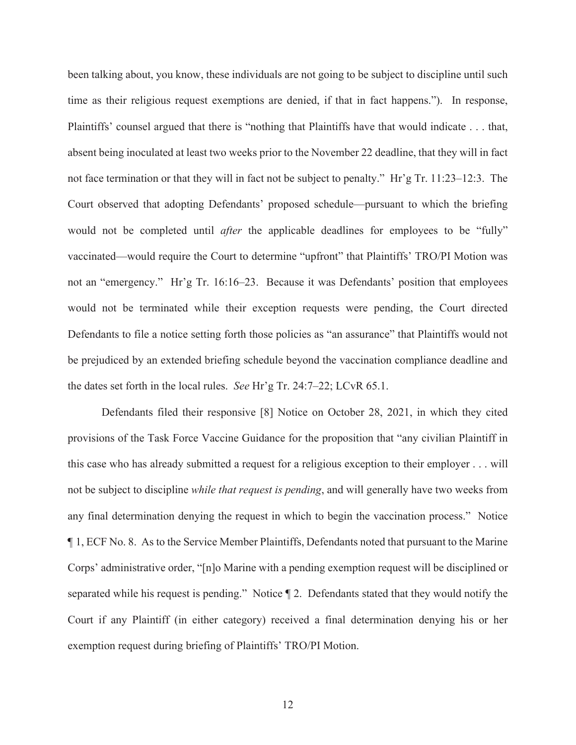been talking about, you know, these individuals are not going to be subject to discipline until such time as their religious request exemptions are denied, if that in fact happens."). In response, Plaintiffs' counsel argued that there is "nothing that Plaintiffs have that would indicate . . . that, absent being inoculated at least two weeks prior to the November 22 deadline, that they will in fact not face termination or that they will in fact not be subject to penalty." Hr'g Tr. 11:23–12:3. The Court observed that adopting Defendants' proposed schedule—pursuant to which the briefing would not be completed until *after* the applicable deadlines for employees to be "fully" vaccinated—would require the Court to determine "upfront" that Plaintiffs' TRO/PI Motion was not an "emergency." Hr'g Tr. 16:16–23. Because it was Defendants' position that employees would not be terminated while their exception requests were pending, the Court directed Defendants to file a notice setting forth those policies as "an assurance" that Plaintiffs would not be prejudiced by an extended briefing schedule beyond the vaccination compliance deadline and the dates set forth in the local rules. *See* Hr'g Tr. 24:7–22; LCvR 65.1.

Defendants filed their responsive [8] Notice on October 28, 2021, in which they cited provisions of the Task Force Vaccine Guidance for the proposition that "any civilian Plaintiff in this case who has already submitted a request for a religious exception to their employer . . . will not be subject to discipline *while that request is pending*, and will generally have two weeks from any final determination denying the request in which to begin the vaccination process." Notice ¶ 1, ECF No. 8. As to the Service Member Plaintiffs, Defendants noted that pursuant to the Marine Corps' administrative order, "[n]o Marine with a pending exemption request will be disciplined or separated while his request is pending." Notice ¶ 2. Defendants stated that they would notify the Court if any Plaintiff (in either category) received a final determination denying his or her exemption request during briefing of Plaintiffs' TRO/PI Motion.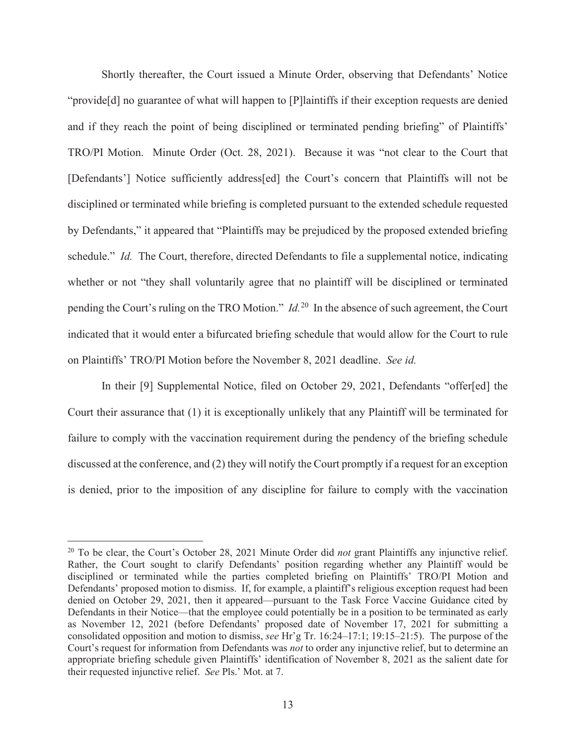Shortly thereafter, the Court issued a Minute Order, observing that Defendants' Notice "provide[d] no guarantee of what will happen to [P]laintiffs if their exception requests are denied and if they reach the point of being disciplined or terminated pending briefing" of Plaintiffs' TRO/PI Motion. Minute Order (Oct. 28, 2021). Because it was "not clear to the Court that [Defendants'] Notice sufficiently address[ed] the Court's concern that Plaintiffs will not be disciplined or terminated while briefing is completed pursuant to the extended schedule requested by Defendants," it appeared that "Plaintiffs may be prejudiced by the proposed extended briefing schedule." *Id.* The Court, therefore, directed Defendants to file a supplemental notice, indicating whether or not "they shall voluntarily agree that no plaintiff will be disciplined or terminated pending the Court's ruling on the TRO Motion." *Id.*20 In the absence of such agreement, the Court indicated that it would enter a bifurcated briefing schedule that would allow for the Court to rule on Plaintiffs' TRO/PI Motion before the November 8, 2021 deadline. *See id.*

In their [9] Supplemental Notice, filed on October 29, 2021, Defendants "offer[ed] the Court their assurance that (1) it is exceptionally unlikely that any Plaintiff will be terminated for failure to comply with the vaccination requirement during the pendency of the briefing schedule discussed at the conference, and (2) they will notify the Court promptly if a request for an exception is denied, prior to the imposition of any discipline for failure to comply with the vaccination

<sup>20</sup> To be clear, the Court's October 28, 2021 Minute Order did *not* grant Plaintiffs any injunctive relief. Rather, the Court sought to clarify Defendants' position regarding whether any Plaintiff would be disciplined or terminated while the parties completed briefing on Plaintiffs' TRO/PI Motion and Defendants' proposed motion to dismiss. If, for example, a plaintiff's religious exception request had been denied on October 29, 2021, then it appeared—pursuant to the Task Force Vaccine Guidance cited by Defendants in their Notice—that the employee could potentially be in a position to be terminated as early as November 12, 2021 (before Defendants' proposed date of November 17, 2021 for submitting a consolidated opposition and motion to dismiss, *see* Hr'g Tr. 16:24–17:1; 19:15–21:5). The purpose of the Court's request for information from Defendants was *not* to order any injunctive relief, but to determine an appropriate briefing schedule given Plaintiffs' identification of November 8, 2021 as the salient date for their requested injunctive relief. *See* Pls.' Mot. at 7.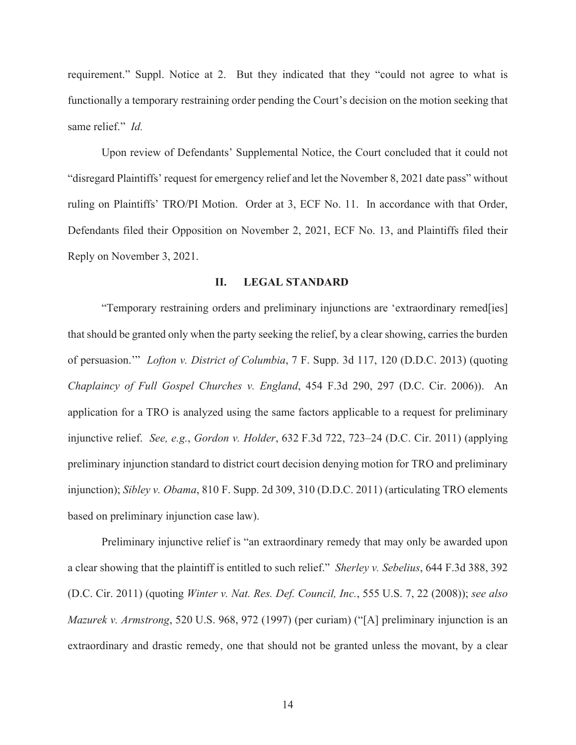requirement." Suppl. Notice at 2. But they indicated that they "could not agree to what is functionally a temporary restraining order pending the Court's decision on the motion seeking that same relief." *Id.*

Upon review of Defendants' Supplemental Notice, the Court concluded that it could not "disregard Plaintiffs' request for emergency relief and let the November 8, 2021 date pass" without ruling on Plaintiffs' TRO/PI Motion. Order at 3, ECF No. 11. In accordance with that Order, Defendants filed their Opposition on November 2, 2021, ECF No. 13, and Plaintiffs filed their Reply on November 3, 2021.

# **II. LEGAL STANDARD**

"Temporary restraining orders and preliminary injunctions are 'extraordinary remed[ies] that should be granted only when the party seeking the relief, by a clear showing, carries the burden of persuasion.'" *Lofton v. District of Columbia*, 7 F. Supp. 3d 117, 120 (D.D.C. 2013) (quoting *Chaplaincy of Full Gospel Churches v. England*, 454 F.3d 290, 297 (D.C. Cir. 2006)). An application for a TRO is analyzed using the same factors applicable to a request for preliminary injunctive relief. *See, e.g.*, *Gordon v. Holder*, 632 F.3d 722, 723–24 (D.C. Cir. 2011) (applying preliminary injunction standard to district court decision denying motion for TRO and preliminary injunction); *Sibley v. Obama*, 810 F. Supp. 2d 309, 310 (D.D.C. 2011) (articulating TRO elements based on preliminary injunction case law).

Preliminary injunctive relief is "an extraordinary remedy that may only be awarded upon a clear showing that the plaintiff is entitled to such relief." *Sherley v. Sebelius*, 644 F.3d 388, 392 (D.C. Cir. 2011) (quoting *Winter v. Nat. Res. Def. Council, Inc.*, 555 U.S. 7, 22 (2008)); *see also Mazurek v. Armstrong*, 520 U.S. 968, 972 (1997) (per curiam) ("[A] preliminary injunction is an extraordinary and drastic remedy, one that should not be granted unless the movant, by a clear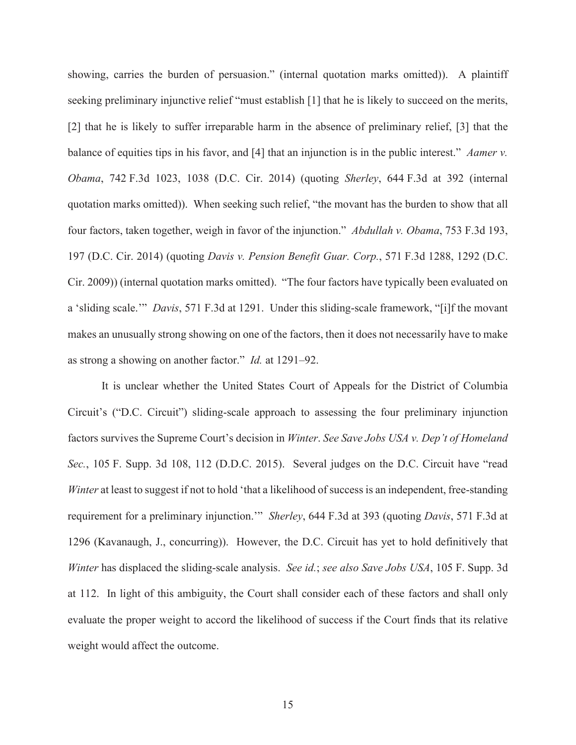showing, carries the burden of persuasion." (internal quotation marks omitted)). A plaintiff seeking preliminary injunctive relief "must establish [1] that he is likely to succeed on the merits, [2] that he is likely to suffer irreparable harm in the absence of preliminary relief, [3] that the balance of equities tips in his favor, and [4] that an injunction is in the public interest." *Aamer v. Obama*, 742 F.3d 1023, 1038 (D.C. Cir. 2014) (quoting *Sherley*, 644 F.3d at 392 (internal quotation marks omitted)). When seeking such relief, "the movant has the burden to show that all four factors, taken together, weigh in favor of the injunction." *Abdullah v. Obama*, 753 F.3d 193, 197 (D.C. Cir. 2014) (quoting *Davis v. Pension Benefit Guar. Corp.*, 571 F.3d 1288, 1292 (D.C. Cir. 2009)) (internal quotation marks omitted). "The four factors have typically been evaluated on a 'sliding scale.'" *Davis*, 571 F.3d at 1291. Under this sliding-scale framework, "[i]f the movant makes an unusually strong showing on one of the factors, then it does not necessarily have to make as strong a showing on another factor." *Id.* at 1291–92.

It is unclear whether the United States Court of Appeals for the District of Columbia Circuit's ("D.C. Circuit") sliding-scale approach to assessing the four preliminary injunction factors survives the Supreme Court's decision in *Winter*. *See Save Jobs USA v. Dep't of Homeland Sec.*, 105 F. Supp. 3d 108, 112 (D.D.C. 2015). Several judges on the D.C. Circuit have "read *Winter* at least to suggest if not to hold 'that a likelihood of success is an independent, free-standing requirement for a preliminary injunction.'" *Sherley*, 644 F.3d at 393 (quoting *Davis*, 571 F.3d at 1296 (Kavanaugh, J., concurring)). However, the D.C. Circuit has yet to hold definitively that *Winter* has displaced the sliding-scale analysis. *See id.*; *see also Save Jobs USA*, 105 F. Supp. 3d at 112. In light of this ambiguity, the Court shall consider each of these factors and shall only evaluate the proper weight to accord the likelihood of success if the Court finds that its relative weight would affect the outcome.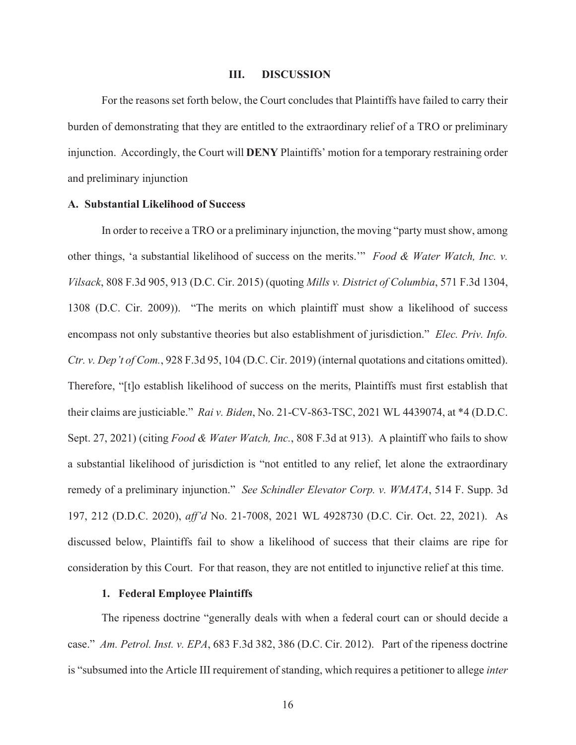#### **III. DISCUSSION**

 For the reasons set forth below, the Court concludes that Plaintiffs have failed to carry their burden of demonstrating that they are entitled to the extraordinary relief of a TRO or preliminary injunction. Accordingly, the Court will **DENY** Plaintiffs' motion for a temporary restraining order and preliminary injunction

# **A. Substantial Likelihood of Success**

In order to receive a TRO or a preliminary injunction, the moving "party must show, among other things, 'a substantial likelihood of success on the merits.'" *Food & Water Watch, Inc. v. Vilsack*, 808 F.3d 905, 913 (D.C. Cir. 2015) (quoting *Mills v. District of Columbia*, 571 F.3d 1304, 1308 (D.C. Cir. 2009)). "The merits on which plaintiff must show a likelihood of success encompass not only substantive theories but also establishment of jurisdiction." *Elec. Priv. Info. Ctr. v. Dep't of Com.*, 928 F.3d 95, 104 (D.C. Cir. 2019) (internal quotations and citations omitted). Therefore, "[t]o establish likelihood of success on the merits, Plaintiffs must first establish that their claims are justiciable." *Rai v. Biden*, No. 21-CV-863-TSC, 2021 WL 4439074, at \*4 (D.D.C. Sept. 27, 2021) (citing *Food & Water Watch, Inc.*, 808 F.3d at 913). A plaintiff who fails to show a substantial likelihood of jurisdiction is "not entitled to any relief, let alone the extraordinary remedy of a preliminary injunction." *See Schindler Elevator Corp. v. WMATA*, 514 F. Supp. 3d 197, 212 (D.D.C. 2020), *aff'd* No. 21-7008, 2021 WL 4928730 (D.C. Cir. Oct. 22, 2021). As discussed below, Plaintiffs fail to show a likelihood of success that their claims are ripe for consideration by this Court. For that reason, they are not entitled to injunctive relief at this time.

#### **1. Federal Employee Plaintiffs**

The ripeness doctrine "generally deals with when a federal court can or should decide a case." *Am. Petrol. Inst. v. EPA*, 683 F.3d 382, 386 (D.C. Cir. 2012). Part of the ripeness doctrine is "subsumed into the Article III requirement of standing, which requires a petitioner to allege *inter*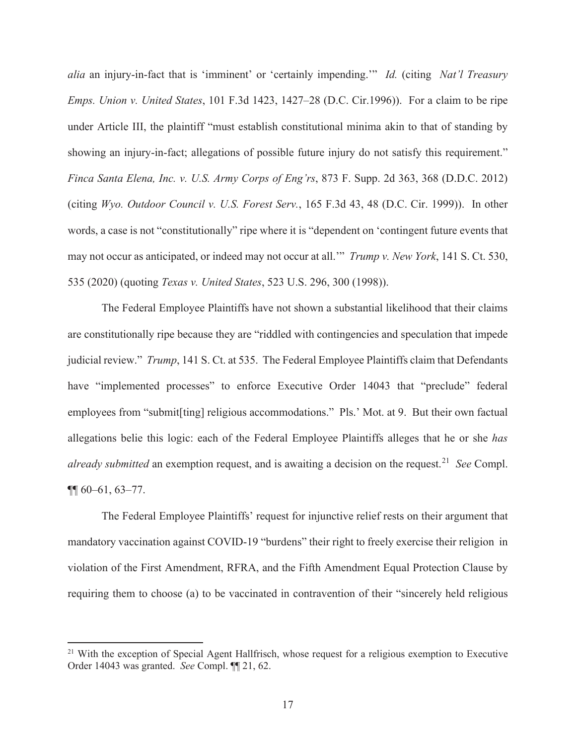*alia* an injury-in-fact that is 'imminent' or 'certainly impending.'" *Id.* (citing *Nat'l Treasury Emps. Union v. United States*, 101 F.3d 1423, 1427–28 (D.C. Cir.1996)). For a claim to be ripe under Article III, the plaintiff "must establish constitutional minima akin to that of standing by showing an injury-in-fact; allegations of possible future injury do not satisfy this requirement." *Finca Santa Elena, Inc. v. U.S. Army Corps of Eng'rs*, 873 F. Supp. 2d 363, 368 (D.D.C. 2012) (citing *Wyo. Outdoor Council v. U.S. Forest Serv.*, 165 F.3d 43, 48 (D.C. Cir. 1999)). In other words, a case is not "constitutionally" ripe where it is "dependent on 'contingent future events that may not occur as anticipated, or indeed may not occur at all.'" *Trump v. New York*, 141 S. Ct. 530, 535 (2020) (quoting *Texas v. United States*, 523 U.S. 296, 300 (1998)).

The Federal Employee Plaintiffs have not shown a substantial likelihood that their claims are constitutionally ripe because they are "riddled with contingencies and speculation that impede judicial review." *Trump*, 141 S. Ct. at 535. The Federal Employee Plaintiffs claim that Defendants have "implemented processes" to enforce Executive Order 14043 that "preclude" federal employees from "submit[ting] religious accommodations." Pls.' Mot. at 9. But their own factual allegations belie this logic: each of the Federal Employee Plaintiffs alleges that he or she *has already submitted* an exemption request, and is awaiting a decision on the request.<sup>21</sup> *See* Compl. ¶¶ 60–61, 63–77.

The Federal Employee Plaintiffs' request for injunctive relief rests on their argument that mandatory vaccination against COVID-19 "burdens" their right to freely exercise their religion in violation of the First Amendment, RFRA, and the Fifth Amendment Equal Protection Clause by requiring them to choose (a) to be vaccinated in contravention of their "sincerely held religious

<sup>&</sup>lt;sup>21</sup> With the exception of Special Agent Hallfrisch, whose request for a religious exemption to Executive Order 14043 was granted. *See* Compl. ¶¶ 21, 62.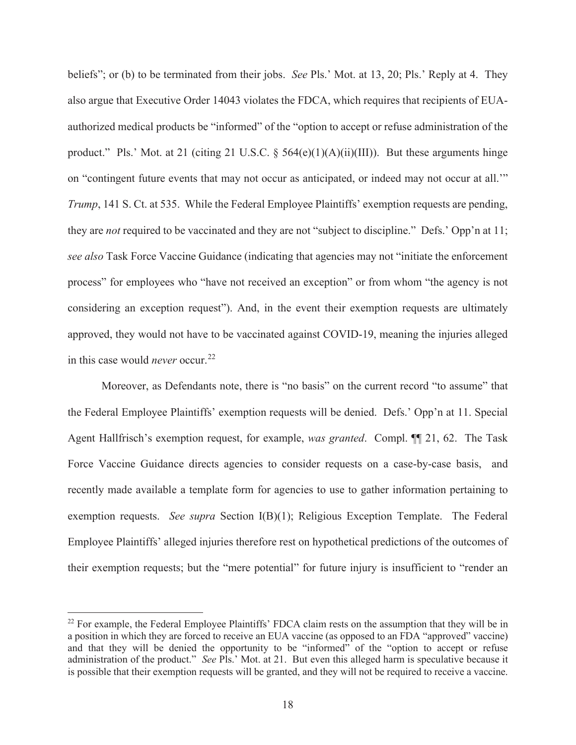beliefs"; or (b) to be terminated from their jobs. *See* Pls.' Mot. at 13, 20; Pls.' Reply at 4. They also argue that Executive Order 14043 violates the FDCA, which requires that recipients of EUAauthorized medical products be "informed" of the "option to accept or refuse administration of the product." Pls.' Mot. at 21 (citing 21 U.S.C. § 564(e)(1)(A)(ii)(III)). But these arguments hinge on "contingent future events that may not occur as anticipated, or indeed may not occur at all.'" *Trump*, 141 S. Ct. at 535. While the Federal Employee Plaintiffs' exemption requests are pending, they are *not* required to be vaccinated and they are not "subject to discipline." Defs.' Opp'n at 11; *see also* Task Force Vaccine Guidance (indicating that agencies may not "initiate the enforcement process" for employees who "have not received an exception" or from whom "the agency is not considering an exception request"). And, in the event their exemption requests are ultimately approved, they would not have to be vaccinated against COVID-19, meaning the injuries alleged in this case would *never* occur.<sup>22</sup>

Moreover, as Defendants note, there is "no basis" on the current record "to assume" that the Federal Employee Plaintiffs' exemption requests will be denied. Defs.' Opp'n at 11. Special Agent Hallfrisch's exemption request, for example, *was granted*. Compl. ¶¶ 21, 62. The Task Force Vaccine Guidance directs agencies to consider requests on a case-by-case basis, and recently made available a template form for agencies to use to gather information pertaining to exemption requests. *See supra* Section I(B)(1); Religious Exception Template. The Federal Employee Plaintiffs' alleged injuries therefore rest on hypothetical predictions of the outcomes of their exemption requests; but the "mere potential" for future injury is insufficient to "render an

<sup>&</sup>lt;sup>22</sup> For example, the Federal Employee Plaintiffs' FDCA claim rests on the assumption that they will be in a position in which they are forced to receive an EUA vaccine (as opposed to an FDA "approved" vaccine) and that they will be denied the opportunity to be "informed" of the "option to accept or refuse administration of the product." *See* Pls.' Mot. at 21. But even this alleged harm is speculative because it is possible that their exemption requests will be granted, and they will not be required to receive a vaccine.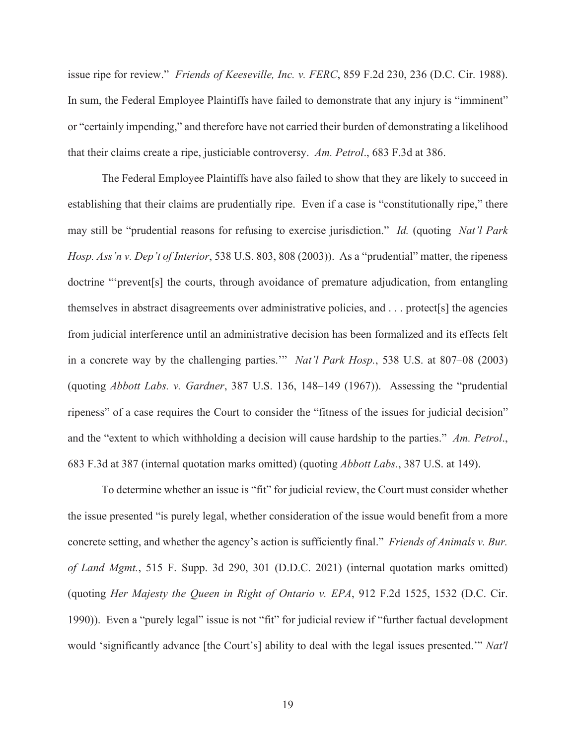issue ripe for review." *Friends of Keeseville, Inc. v. FERC*, 859 F.2d 230, 236 (D.C. Cir. 1988). In sum, the Federal Employee Plaintiffs have failed to demonstrate that any injury is "imminent" or "certainly impending," and therefore have not carried their burden of demonstrating a likelihood that their claims create a ripe, justiciable controversy. *Am. Petrol*., 683 F.3d at 386.

The Federal Employee Plaintiffs have also failed to show that they are likely to succeed in establishing that their claims are prudentially ripe. Even if a case is "constitutionally ripe," there may still be "prudential reasons for refusing to exercise jurisdiction." *Id.* (quoting *Nat'l Park Hosp. Ass'n v. Dep't of Interior*, 538 U.S. 803, 808 (2003)). As a "prudential" matter, the ripeness doctrine "'prevent[s] the courts, through avoidance of premature adjudication, from entangling themselves in abstract disagreements over administrative policies, and . . . protect[s] the agencies from judicial interference until an administrative decision has been formalized and its effects felt in a concrete way by the challenging parties.'" *Nat'l Park Hosp.*, 538 U.S. at 807–08 (2003) (quoting *Abbott Labs. v. Gardner*, 387 U.S. 136, 148–149 (1967)). Assessing the "prudential ripeness" of a case requires the Court to consider the "fitness of the issues for judicial decision" and the "extent to which withholding a decision will cause hardship to the parties." *Am. Petrol*., 683 F.3d at 387 (internal quotation marks omitted) (quoting *Abbott Labs.*, 387 U.S. at 149).

 To determine whether an issue is "fit" for judicial review, the Court must consider whether the issue presented "is purely legal, whether consideration of the issue would benefit from a more concrete setting, and whether the agency's action is sufficiently final." *Friends of Animals v. Bur. of Land Mgmt.*, 515 F. Supp. 3d 290, 301 (D.D.C. 2021) (internal quotation marks omitted) (quoting *Her Majesty the Queen in Right of Ontario v. EPA*, 912 F.2d 1525, 1532 (D.C. Cir. 1990)). Even a "purely legal" issue is not "fit" for judicial review if "further factual development would 'significantly advance [the Court's] ability to deal with the legal issues presented.'" *Nat'l*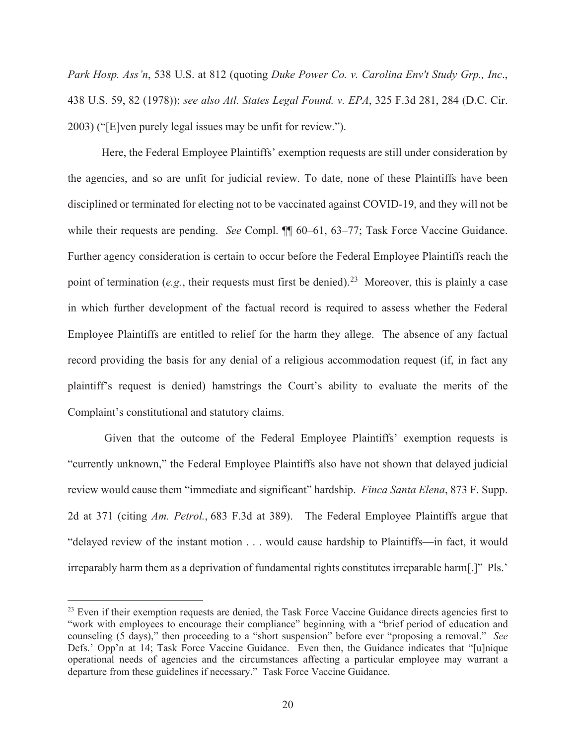*Park Hosp. Ass'n*, 538 U.S. at 812 (quoting *Duke Power Co. v. Carolina Env't Study Grp., Inc*., 438 U.S. 59, 82 (1978)); *see also Atl. States Legal Found. v. EPA*, 325 F.3d 281, 284 (D.C. Cir. 2003) ("[E]ven purely legal issues may be unfit for review.").

Here, the Federal Employee Plaintiffs' exemption requests are still under consideration by the agencies, and so are unfit for judicial review. To date, none of these Plaintiffs have been disciplined or terminated for electing not to be vaccinated against COVID-19, and they will not be while their requests are pending. *See* Compl. **[1]** 60–61, 63–77; Task Force Vaccine Guidance. Further agency consideration is certain to occur before the Federal Employee Plaintiffs reach the point of termination (*e.g.*, their requests must first be denied).<sup>23</sup> Moreover, this is plainly a case in which further development of the factual record is required to assess whether the Federal Employee Plaintiffs are entitled to relief for the harm they allege. The absence of any factual record providing the basis for any denial of a religious accommodation request (if, in fact any plaintiff's request is denied) hamstrings the Court's ability to evaluate the merits of the Complaint's constitutional and statutory claims.

 Given that the outcome of the Federal Employee Plaintiffs' exemption requests is "currently unknown," the Federal Employee Plaintiffs also have not shown that delayed judicial review would cause them "immediate and significant" hardship. *Finca Santa Elena*, 873 F. Supp. 2d at 371 (citing *Am. Petrol.*, 683 F.3d at 389). The Federal Employee Plaintiffs argue that "delayed review of the instant motion . . . would cause hardship to Plaintiffs—in fact, it would irreparably harm them as a deprivation of fundamental rights constitutes irreparable harm[.]" Pls.'

<sup>&</sup>lt;sup>23</sup> Even if their exemption requests are denied, the Task Force Vaccine Guidance directs agencies first to "work with employees to encourage their compliance" beginning with a "brief period of education and counseling (5 days)," then proceeding to a "short suspension" before ever "proposing a removal." *See* Defs.' Opp'n at 14; Task Force Vaccine Guidance. Even then, the Guidance indicates that "[u]nique operational needs of agencies and the circumstances affecting a particular employee may warrant a departure from these guidelines if necessary." Task Force Vaccine Guidance.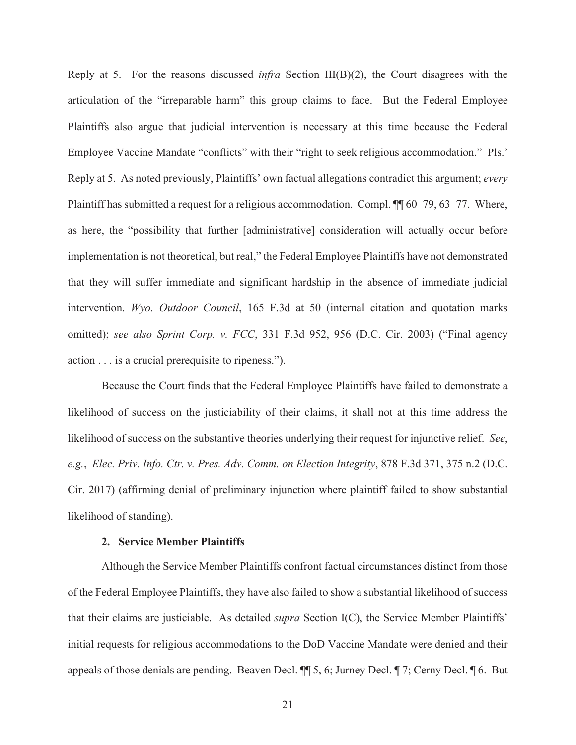Reply at 5. For the reasons discussed *infra* Section III(B)(2), the Court disagrees with the articulation of the "irreparable harm" this group claims to face. But the Federal Employee Plaintiffs also argue that judicial intervention is necessary at this time because the Federal Employee Vaccine Mandate "conflicts" with their "right to seek religious accommodation." Pls.' Reply at 5. As noted previously, Plaintiffs' own factual allegations contradict this argument; *every* Plaintiff has submitted a request for a religious accommodation. Compl. ¶¶ 60–79, 63–77. Where, as here, the "possibility that further [administrative] consideration will actually occur before implementation is not theoretical, but real," the Federal Employee Plaintiffs have not demonstrated that they will suffer immediate and significant hardship in the absence of immediate judicial intervention. *Wyo. Outdoor Council*, 165 F.3d at 50 (internal citation and quotation marks omitted); *see also Sprint Corp. v. FCC*, 331 F.3d 952, 956 (D.C. Cir. 2003) ("Final agency action . . . is a crucial prerequisite to ripeness.").

 Because the Court finds that the Federal Employee Plaintiffs have failed to demonstrate a likelihood of success on the justiciability of their claims, it shall not at this time address the likelihood of success on the substantive theories underlying their request for injunctive relief. *See*, *e.g.*, *Elec. Priv. Info. Ctr. v. Pres. Adv. Comm. on Election Integrity*, 878 F.3d 371, 375 n.2 (D.C. Cir. 2017) (affirming denial of preliminary injunction where plaintiff failed to show substantial likelihood of standing).

#### **2. Service Member Plaintiffs**

Although the Service Member Plaintiffs confront factual circumstances distinct from those of the Federal Employee Plaintiffs, they have also failed to show a substantial likelihood of success that their claims are justiciable. As detailed *supra* Section I(C), the Service Member Plaintiffs' initial requests for religious accommodations to the DoD Vaccine Mandate were denied and their appeals of those denials are pending. Beaven Decl. ¶¶ 5, 6; Jurney Decl. ¶ 7; Cerny Decl. ¶ 6. But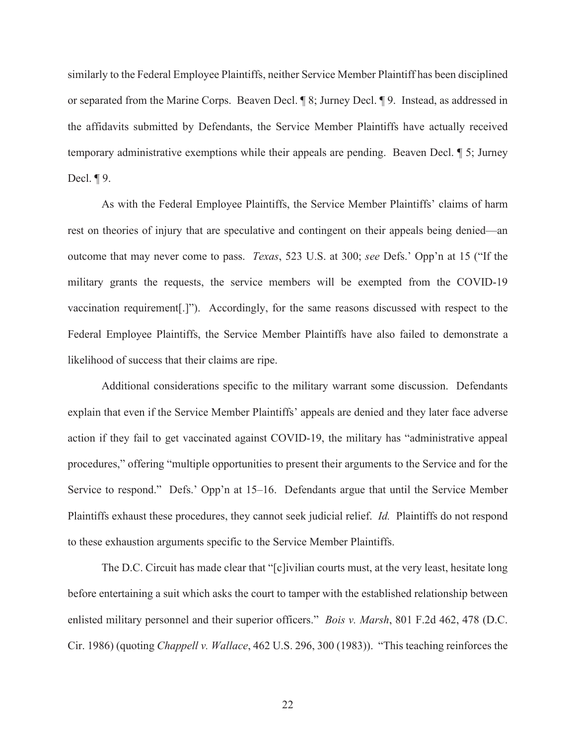similarly to the Federal Employee Plaintiffs, neither Service Member Plaintiff has been disciplined or separated from the Marine Corps. Beaven Decl. ¶ 8; Jurney Decl. ¶ 9. Instead, as addressed in the affidavits submitted by Defendants, the Service Member Plaintiffs have actually received temporary administrative exemptions while their appeals are pending. Beaven Decl. ¶ 5; Jurney Decl. ¶ 9.

As with the Federal Employee Plaintiffs, the Service Member Plaintiffs' claims of harm rest on theories of injury that are speculative and contingent on their appeals being denied—an outcome that may never come to pass. *Texas*, 523 U.S. at 300; *see* Defs.' Opp'n at 15 ("If the military grants the requests, the service members will be exempted from the COVID-19 vaccination requirement[.]"). Accordingly, for the same reasons discussed with respect to the Federal Employee Plaintiffs, the Service Member Plaintiffs have also failed to demonstrate a likelihood of success that their claims are ripe.

Additional considerations specific to the military warrant some discussion. Defendants explain that even if the Service Member Plaintiffs' appeals are denied and they later face adverse action if they fail to get vaccinated against COVID-19, the military has "administrative appeal procedures," offering "multiple opportunities to present their arguments to the Service and for the Service to respond." Defs.' Opp'n at 15–16. Defendants argue that until the Service Member Plaintiffs exhaust these procedures, they cannot seek judicial relief. *Id.* Plaintiffs do not respond to these exhaustion arguments specific to the Service Member Plaintiffs.

 The D.C. Circuit has made clear that "[c]ivilian courts must, at the very least, hesitate long before entertaining a suit which asks the court to tamper with the established relationship between enlisted military personnel and their superior officers." *Bois v. Marsh*, 801 F.2d 462, 478 (D.C. Cir. 1986) (quoting *Chappell v. Wallace*, 462 U.S. 296, 300 (1983)). "This teaching reinforces the

22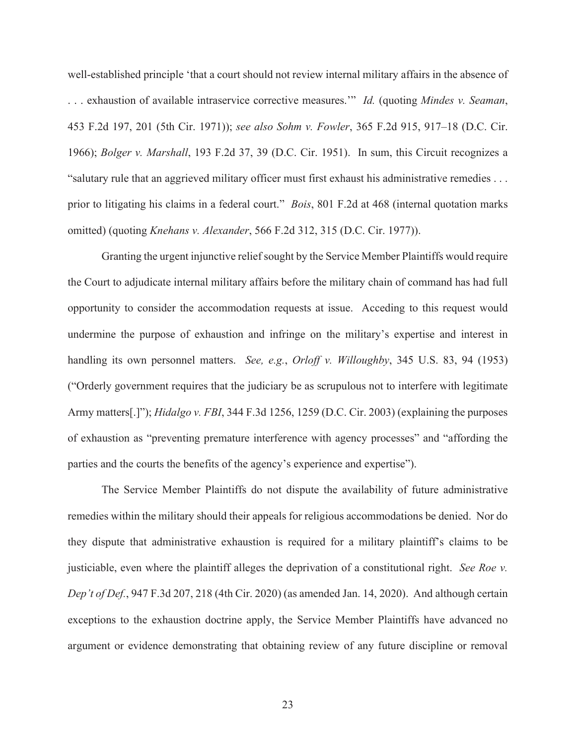well-established principle 'that a court should not review internal military affairs in the absence of . . . exhaustion of available intraservice corrective measures.'" *Id.* (quoting *Mindes v. Seaman*, 453 F.2d 197, 201 (5th Cir. 1971)); *see also Sohm v. Fowler*, 365 F.2d 915, 917–18 (D.C. Cir. 1966); *Bolger v. Marshall*, 193 F.2d 37, 39 (D.C. Cir. 1951). In sum, this Circuit recognizes a "salutary rule that an aggrieved military officer must first exhaust his administrative remedies . . . prior to litigating his claims in a federal court." *Bois*, 801 F.2d at 468 (internal quotation marks omitted) (quoting *Knehans v. Alexander*, 566 F.2d 312, 315 (D.C. Cir. 1977)).

 Granting the urgent injunctive relief sought by the Service Member Plaintiffs would require the Court to adjudicate internal military affairs before the military chain of command has had full opportunity to consider the accommodation requests at issue. Acceding to this request would undermine the purpose of exhaustion and infringe on the military's expertise and interest in handling its own personnel matters. *See, e.g.*, *Orloff v. Willoughby*, 345 U.S. 83, 94 (1953) ("Orderly government requires that the judiciary be as scrupulous not to interfere with legitimate Army matters[.]"); *Hidalgo v. FBI*, 344 F.3d 1256, 1259 (D.C. Cir. 2003) (explaining the purposes of exhaustion as "preventing premature interference with agency processes" and "affording the parties and the courts the benefits of the agency's experience and expertise").

The Service Member Plaintiffs do not dispute the availability of future administrative remedies within the military should their appeals for religious accommodations be denied. Nor do they dispute that administrative exhaustion is required for a military plaintiff's claims to be justiciable, even where the plaintiff alleges the deprivation of a constitutional right. *See Roe v. Dep't of Def.*, 947 F.3d 207, 218 (4th Cir. 2020) (as amended Jan. 14, 2020). And although certain exceptions to the exhaustion doctrine apply, the Service Member Plaintiffs have advanced no argument or evidence demonstrating that obtaining review of any future discipline or removal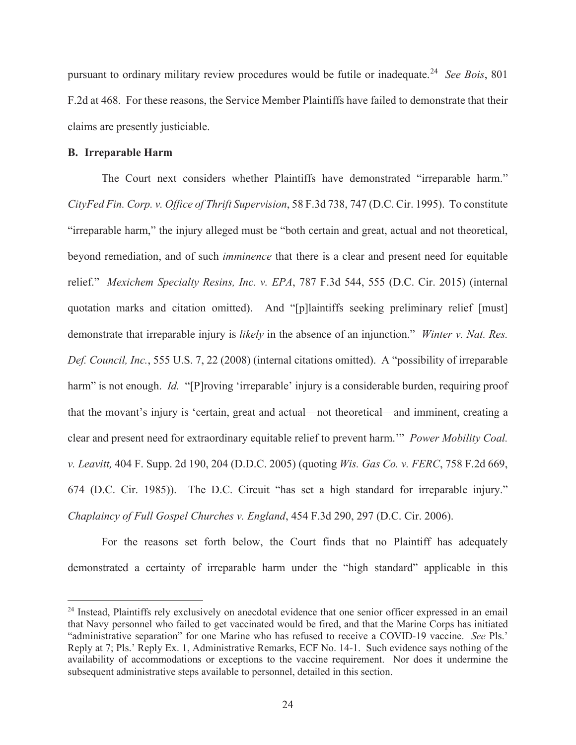pursuant to ordinary military review procedures would be futile or inadequate.24 *See Bois*, 801 F.2d at 468. For these reasons, the Service Member Plaintiffs have failed to demonstrate that their claims are presently justiciable.

# **B. Irreparable Harm**

The Court next considers whether Plaintiffs have demonstrated "irreparable harm." *CityFed Fin. Corp. v. Office of Thrift Supervision*, 58 F.3d 738, 747 (D.C. Cir. 1995). To constitute "irreparable harm," the injury alleged must be "both certain and great, actual and not theoretical, beyond remediation, and of such *imminence* that there is a clear and present need for equitable relief." *Mexichem Specialty Resins, Inc. v. EPA*, 787 F.3d 544, 555 (D.C. Cir. 2015) (internal quotation marks and citation omitted). And "[p]laintiffs seeking preliminary relief [must] demonstrate that irreparable injury is *likely* in the absence of an injunction." *Winter v. Nat. Res. Def. Council, Inc.*, 555 U.S. 7, 22 (2008) (internal citations omitted). A "possibility of irreparable harm" is not enough. *Id.* "[P]roving 'irreparable' injury is a considerable burden, requiring proof that the movant's injury is 'certain, great and actual—not theoretical—and imminent, creating a clear and present need for extraordinary equitable relief to prevent harm.'" *Power Mobility Coal. v. Leavitt,* 404 F. Supp. 2d 190, 204 (D.D.C. 2005) (quoting *Wis. Gas Co. v. FERC*, 758 F.2d 669, 674 (D.C. Cir. 1985)). The D.C. Circuit "has set a high standard for irreparable injury." *Chaplaincy of Full Gospel Churches v. England*, 454 F.3d 290, 297 (D.C. Cir. 2006).

For the reasons set forth below, the Court finds that no Plaintiff has adequately demonstrated a certainty of irreparable harm under the "high standard" applicable in this

<sup>&</sup>lt;sup>24</sup> Instead, Plaintiffs rely exclusively on anecdotal evidence that one senior officer expressed in an email that Navy personnel who failed to get vaccinated would be fired, and that the Marine Corps has initiated "administrative separation" for one Marine who has refused to receive a COVID-19 vaccine. *See* Pls.' Reply at 7; Pls.' Reply Ex. 1, Administrative Remarks, ECF No. 14-1. Such evidence says nothing of the availability of accommodations or exceptions to the vaccine requirement. Nor does it undermine the subsequent administrative steps available to personnel, detailed in this section.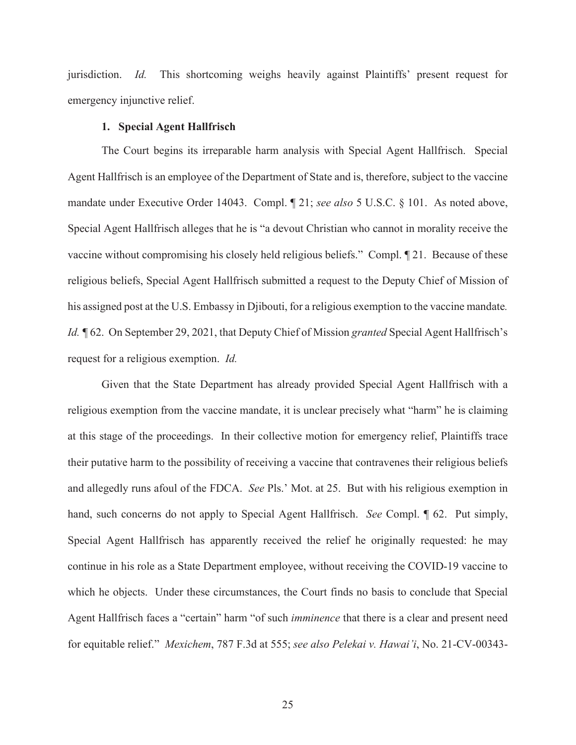jurisdiction. *Id.* This shortcoming weighs heavily against Plaintiffs' present request for emergency injunctive relief.

### **1. Special Agent Hallfrisch**

The Court begins its irreparable harm analysis with Special Agent Hallfrisch. Special Agent Hallfrisch is an employee of the Department of State and is, therefore, subject to the vaccine mandate under Executive Order 14043. Compl. ¶ 21; *see also* 5 U.S.C. § 101. As noted above, Special Agent Hallfrisch alleges that he is "a devout Christian who cannot in morality receive the vaccine without compromising his closely held religious beliefs." Compl. ¶ 21. Because of these religious beliefs, Special Agent Hallfrisch submitted a request to the Deputy Chief of Mission of his assigned post at the U.S. Embassy in Djibouti, for a religious exemption to the vaccine mandate*. Id.* ¶ 62. On September 29, 2021, that Deputy Chief of Mission *granted* Special Agent Hallfrisch's request for a religious exemption. *Id.*

Given that the State Department has already provided Special Agent Hallfrisch with a religious exemption from the vaccine mandate, it is unclear precisely what "harm" he is claiming at this stage of the proceedings. In their collective motion for emergency relief, Plaintiffs trace their putative harm to the possibility of receiving a vaccine that contravenes their religious beliefs and allegedly runs afoul of the FDCA. *See* Pls.' Mot. at 25. But with his religious exemption in hand, such concerns do not apply to Special Agent Hallfrisch. *See* Compl. ¶ 62. Put simply, Special Agent Hallfrisch has apparently received the relief he originally requested: he may continue in his role as a State Department employee, without receiving the COVID-19 vaccine to which he objects. Under these circumstances, the Court finds no basis to conclude that Special Agent Hallfrisch faces a "certain" harm "of such *imminence* that there is a clear and present need for equitable relief." *Mexichem*, 787 F.3d at 555; *see also Pelekai v. Hawai'i*, No. 21-CV-00343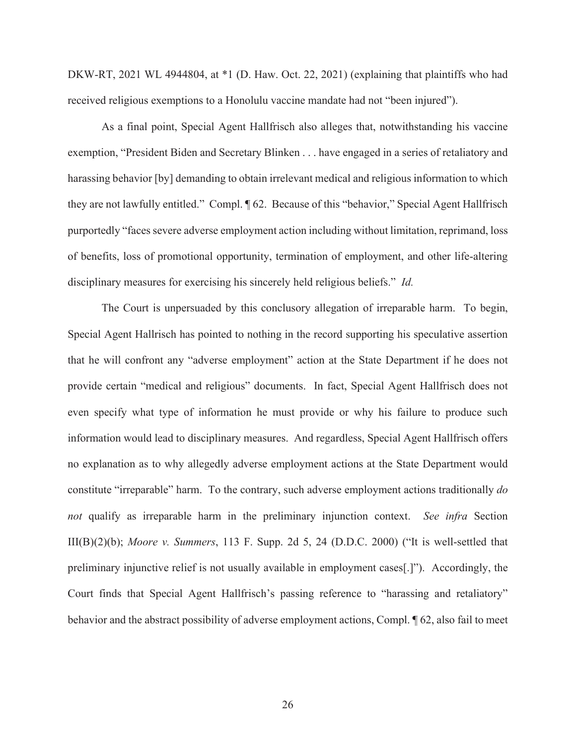DKW-RT, 2021 WL 4944804, at  $*1$  (D. Haw. Oct. 22, 2021) (explaining that plaintiffs who had received religious exemptions to a Honolulu vaccine mandate had not "been injured").

As a final point, Special Agent Hallfrisch also alleges that, notwithstanding his vaccine exemption, "President Biden and Secretary Blinken . . . have engaged in a series of retaliatory and harassing behavior [by] demanding to obtain irrelevant medical and religious information to which they are not lawfully entitled." Compl. ¶ 62. Because of this "behavior," Special Agent Hallfrisch purportedly "faces severe adverse employment action including without limitation, reprimand, loss of benefits, loss of promotional opportunity, termination of employment, and other life-altering disciplinary measures for exercising his sincerely held religious beliefs." *Id.*

The Court is unpersuaded by this conclusory allegation of irreparable harm. To begin, Special Agent Hallrisch has pointed to nothing in the record supporting his speculative assertion that he will confront any "adverse employment" action at the State Department if he does not provide certain "medical and religious" documents. In fact, Special Agent Hallfrisch does not even specify what type of information he must provide or why his failure to produce such information would lead to disciplinary measures. And regardless, Special Agent Hallfrisch offers no explanation as to why allegedly adverse employment actions at the State Department would constitute "irreparable" harm. To the contrary, such adverse employment actions traditionally *do not* qualify as irreparable harm in the preliminary injunction context. *See infra* Section III(B)(2)(b); *Moore v. Summers*, 113 F. Supp. 2d 5, 24 (D.D.C. 2000) ("It is well-settled that preliminary injunctive relief is not usually available in employment cases[.]"). Accordingly, the Court finds that Special Agent Hallfrisch's passing reference to "harassing and retaliatory" behavior and the abstract possibility of adverse employment actions, Compl. ¶ 62, also fail to meet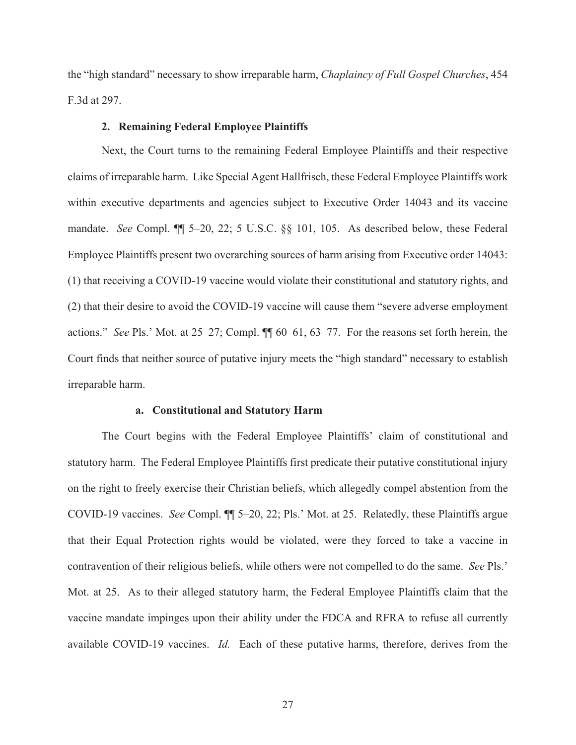the "high standard" necessary to show irreparable harm, *Chaplaincy of Full Gospel Churches*, 454 F.3d at 297.

# **2. Remaining Federal Employee Plaintiffs**

Next, the Court turns to the remaining Federal Employee Plaintiffs and their respective claims of irreparable harm. Like Special Agent Hallfrisch, these Federal Employee Plaintiffs work within executive departments and agencies subject to Executive Order 14043 and its vaccine mandate. *See* Compl. ¶¶ 5–20, 22; 5 U.S.C. §§ 101, 105. As described below, these Federal Employee Plaintiffs present two overarching sources of harm arising from Executive order 14043: (1) that receiving a COVID-19 vaccine would violate their constitutional and statutory rights, and (2) that their desire to avoid the COVID-19 vaccine will cause them "severe adverse employment actions." *See* Pls.' Mot. at 25–27; Compl. ¶¶ 60–61, 63–77. For the reasons set forth herein, the Court finds that neither source of putative injury meets the "high standard" necessary to establish irreparable harm.

#### **a. Constitutional and Statutory Harm**

The Court begins with the Federal Employee Plaintiffs' claim of constitutional and statutory harm. The Federal Employee Plaintiffs first predicate their putative constitutional injury on the right to freely exercise their Christian beliefs, which allegedly compel abstention from the COVID-19 vaccines. *See* Compl. ¶¶ 5–20, 22; Pls.' Mot. at 25. Relatedly, these Plaintiffs argue that their Equal Protection rights would be violated, were they forced to take a vaccine in contravention of their religious beliefs, while others were not compelled to do the same. *See* Pls.' Mot. at 25. As to their alleged statutory harm, the Federal Employee Plaintiffs claim that the vaccine mandate impinges upon their ability under the FDCA and RFRA to refuse all currently available COVID-19 vaccines. *Id.* Each of these putative harms, therefore, derives from the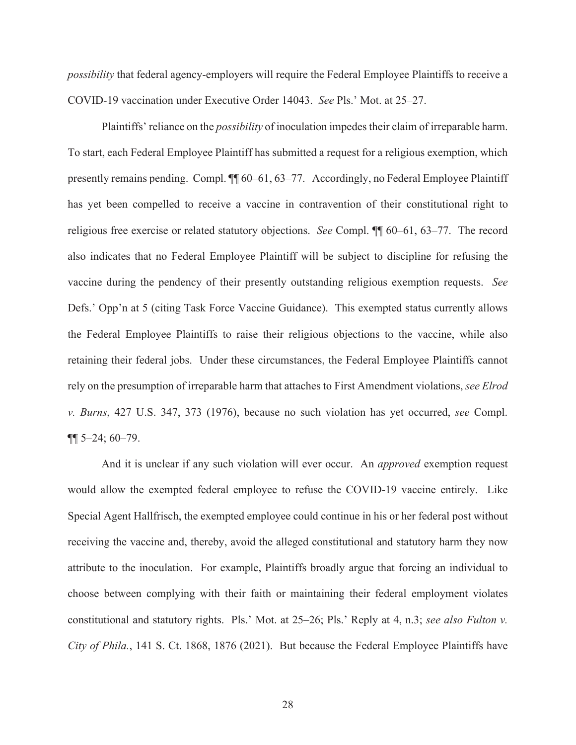*possibility* that federal agency-employers will require the Federal Employee Plaintiffs to receive a COVID-19 vaccination under Executive Order 14043. *See* Pls.' Mot. at 25–27.

Plaintiffs' reliance on the *possibility* of inoculation impedes their claim of irreparable harm. To start, each Federal Employee Plaintiff has submitted a request for a religious exemption, which presently remains pending. Compl. ¶¶ 60–61, 63–77. Accordingly, no Federal Employee Plaintiff has yet been compelled to receive a vaccine in contravention of their constitutional right to religious free exercise or related statutory objections. *See* Compl. ¶¶ 60–61, 63–77. The record also indicates that no Federal Employee Plaintiff will be subject to discipline for refusing the vaccine during the pendency of their presently outstanding religious exemption requests. *See* Defs.' Opp'n at 5 (citing Task Force Vaccine Guidance). This exempted status currently allows the Federal Employee Plaintiffs to raise their religious objections to the vaccine, while also retaining their federal jobs. Under these circumstances, the Federal Employee Plaintiffs cannot rely on the presumption of irreparable harm that attaches to First Amendment violations, *see Elrod v. Burns*, 427 U.S. 347, 373 (1976), because no such violation has yet occurred, *see* Compl.  $\P\P$  5–24; 60–79.

And it is unclear if any such violation will ever occur. An *approved* exemption request would allow the exempted federal employee to refuse the COVID-19 vaccine entirely. Like Special Agent Hallfrisch, the exempted employee could continue in his or her federal post without receiving the vaccine and, thereby, avoid the alleged constitutional and statutory harm they now attribute to the inoculation. For example, Plaintiffs broadly argue that forcing an individual to choose between complying with their faith or maintaining their federal employment violates constitutional and statutory rights. Pls.' Mot. at 25–26; Pls.' Reply at 4, n.3; *see also Fulton v. City of Phila.*, 141 S. Ct. 1868, 1876 (2021). But because the Federal Employee Plaintiffs have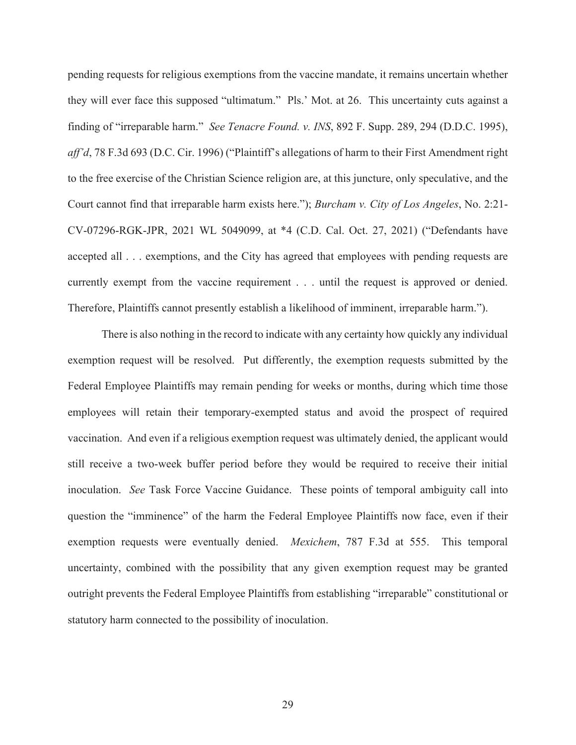pending requests for religious exemptions from the vaccine mandate, it remains uncertain whether they will ever face this supposed "ultimatum."Pls.' Mot. at 26. This uncertainty cuts against a finding of "irreparable harm." *See Tenacre Found. v. INS*, 892 F. Supp. 289, 294 (D.D.C. 1995), *aff'd*, 78 F.3d 693 (D.C. Cir. 1996) ("Plaintiff's allegations of harm to their First Amendment right to the free exercise of the Christian Science religion are, at this juncture, only speculative, and the Court cannot find that irreparable harm exists here."); *Burcham v. City of Los Angeles*, No. 2:21- CV-07296-RGK-JPR, 2021 WL 5049099, at \*4 (C.D. Cal. Oct. 27, 2021) ("Defendants have accepted all . . . exemptions, and the City has agreed that employees with pending requests are currently exempt from the vaccine requirement . . . until the request is approved or denied. Therefore, Plaintiffs cannot presently establish a likelihood of imminent, irreparable harm.").

There is also nothing in the record to indicate with any certainty how quickly any individual exemption request will be resolved. Put differently, the exemption requests submitted by the Federal Employee Plaintiffs may remain pending for weeks or months, during which time those employees will retain their temporary-exempted status and avoid the prospect of required vaccination. And even if a religious exemption request was ultimately denied, the applicant would still receive a two-week buffer period before they would be required to receive their initial inoculation. *See* Task Force Vaccine Guidance. These points of temporal ambiguity call into question the "imminence" of the harm the Federal Employee Plaintiffs now face, even if their exemption requests were eventually denied. *Mexichem*, 787 F.3d at 555. This temporal uncertainty, combined with the possibility that any given exemption request may be granted outright prevents the Federal Employee Plaintiffs from establishing "irreparable" constitutional or statutory harm connected to the possibility of inoculation.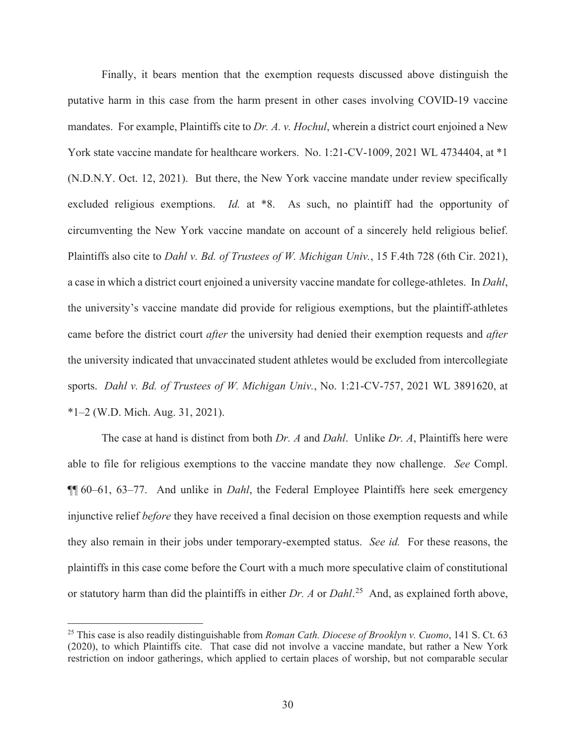Finally, it bears mention that the exemption requests discussed above distinguish the putative harm in this case from the harm present in other cases involving COVID-19 vaccine mandates. For example, Plaintiffs cite to *Dr. A. v. Hochul*, wherein a district court enjoined a New York state vaccine mandate for healthcare workers. No. 1:21-CV-1009, 2021 WL 4734404, at \*1 (N.D.N.Y. Oct. 12, 2021). But there, the New York vaccine mandate under review specifically excluded religious exemptions. *Id.* at \*8. As such, no plaintiff had the opportunity of circumventing the New York vaccine mandate on account of a sincerely held religious belief. Plaintiffs also cite to *Dahl v. Bd. of Trustees of W. Michigan Univ.*, 15 F.4th 728 (6th Cir. 2021), a case in which a district court enjoined a university vaccine mandate for college-athletes. In *Dahl*, the university's vaccine mandate did provide for religious exemptions, but the plaintiff-athletes came before the district court *after* the university had denied their exemption requests and *after*  the university indicated that unvaccinated student athletes would be excluded from intercollegiate sports. *Dahl v. Bd. of Trustees of W. Michigan Univ.*, No. 1:21-CV-757, 2021 WL 3891620, at \*1–2 (W.D. Mich. Aug. 31, 2021).

The case at hand is distinct from both *Dr. A* and *Dahl*. Unlike *Dr. A*, Plaintiffs here were able to file for religious exemptions to the vaccine mandate they now challenge. *See* Compl. ¶¶ 60–61, 63–77. And unlike in *Dahl*, the Federal Employee Plaintiffs here seek emergency injunctive relief *before* they have received a final decision on those exemption requests and while they also remain in their jobs under temporary-exempted status. *See id.* For these reasons, the plaintiffs in this case come before the Court with a much more speculative claim of constitutional or statutory harm than did the plaintiffs in either *Dr. A* or *Dahl*. 25 And, as explained forth above,

<sup>25</sup> This case is also readily distinguishable from *Roman Cath. Diocese of Brooklyn v. Cuomo*, 141 S. Ct. 63 (2020), to which Plaintiffs cite. That case did not involve a vaccine mandate, but rather a New York restriction on indoor gatherings, which applied to certain places of worship, but not comparable secular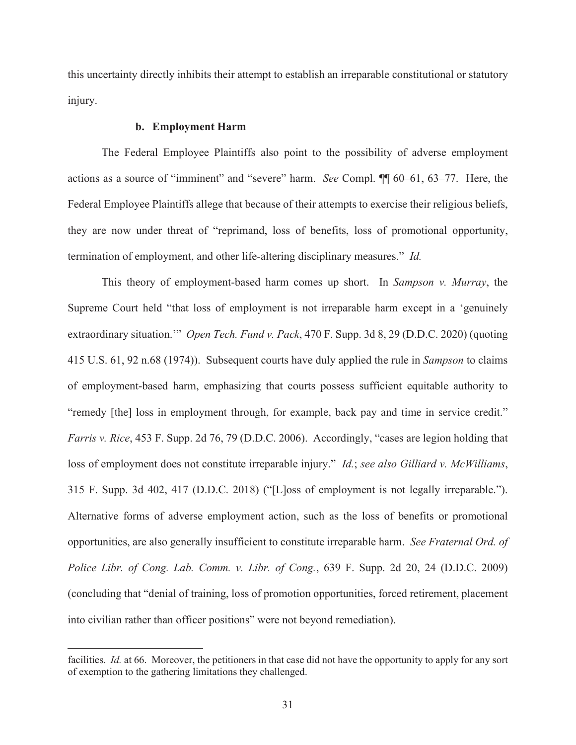this uncertainty directly inhibits their attempt to establish an irreparable constitutional or statutory injury.

# **b. Employment Harm**

The Federal Employee Plaintiffs also point to the possibility of adverse employment actions as a source of "imminent" and "severe" harm. *See* Compl. ¶¶ 60–61, 63–77. Here, the Federal Employee Plaintiffs allege that because of their attempts to exercise their religious beliefs, they are now under threat of "reprimand, loss of benefits, loss of promotional opportunity, termination of employment, and other life-altering disciplinary measures." *Id.*

This theory of employment-based harm comes up short. In *Sampson v. Murray*, the Supreme Court held "that loss of employment is not irreparable harm except in a 'genuinely extraordinary situation.'" *Open Tech. Fund v. Pack*, 470 F. Supp. 3d 8, 29 (D.D.C. 2020) (quoting 415 U.S. 61, 92 n.68 (1974)). Subsequent courts have duly applied the rule in *Sampson* to claims of employment-based harm, emphasizing that courts possess sufficient equitable authority to "remedy [the] loss in employment through, for example, back pay and time in service credit." *Farris v. Rice*, 453 F. Supp. 2d 76, 79 (D.D.C. 2006). Accordingly, "cases are legion holding that loss of employment does not constitute irreparable injury." *Id.*; *see also Gilliard v. McWilliams*, 315 F. Supp. 3d 402, 417 (D.D.C. 2018) ("[L]oss of employment is not legally irreparable."). Alternative forms of adverse employment action, such as the loss of benefits or promotional opportunities, are also generally insufficient to constitute irreparable harm. *See Fraternal Ord. of Police Libr. of Cong. Lab. Comm. v. Libr. of Cong.*, 639 F. Supp. 2d 20, 24 (D.D.C. 2009) (concluding that "denial of training, loss of promotion opportunities, forced retirement, placement into civilian rather than officer positions" were not beyond remediation).

facilities. *Id.* at 66. Moreover, the petitioners in that case did not have the opportunity to apply for any sort of exemption to the gathering limitations they challenged.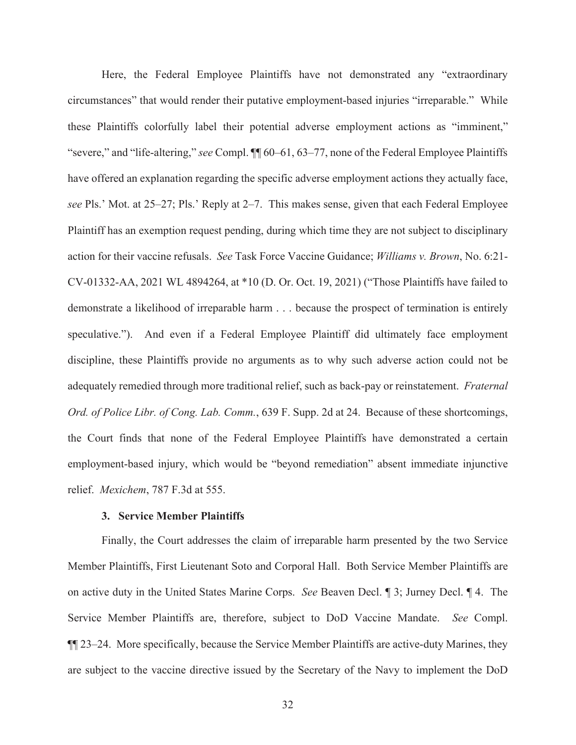Here, the Federal Employee Plaintiffs have not demonstrated any "extraordinary circumstances" that would render their putative employment-based injuries "irreparable." While these Plaintiffs colorfully label their potential adverse employment actions as "imminent," "severe," and "life-altering," *see* Compl. ¶¶ 60–61, 63–77, none of the Federal Employee Plaintiffs have offered an explanation regarding the specific adverse employment actions they actually face, *see* Pls.' Mot. at 25–27; Pls.' Reply at 2–7. This makes sense, given that each Federal Employee Plaintiff has an exemption request pending, during which time they are not subject to disciplinary action for their vaccine refusals. *See* Task Force Vaccine Guidance; *Williams v. Brown*, No. 6:21- CV-01332-AA, 2021 WL 4894264, at \*10 (D. Or. Oct. 19, 2021) ("Those Plaintiffs have failed to demonstrate a likelihood of irreparable harm . . . because the prospect of termination is entirely speculative."). And even if a Federal Employee Plaintiff did ultimately face employment discipline, these Plaintiffs provide no arguments as to why such adverse action could not be adequately remedied through more traditional relief, such as back-pay or reinstatement. *Fraternal Ord. of Police Libr. of Cong. Lab. Comm.*, 639 F. Supp. 2d at 24. Because of these shortcomings, the Court finds that none of the Federal Employee Plaintiffs have demonstrated a certain employment-based injury, which would be "beyond remediation" absent immediate injunctive relief. *Mexichem*, 787 F.3d at 555.

# **3. Service Member Plaintiffs**

Finally, the Court addresses the claim of irreparable harm presented by the two Service Member Plaintiffs, First Lieutenant Soto and Corporal Hall. Both Service Member Plaintiffs are on active duty in the United States Marine Corps. *See* Beaven Decl. ¶ 3; Jurney Decl. ¶ 4. The Service Member Plaintiffs are, therefore, subject to DoD Vaccine Mandate. *See* Compl. ¶¶ 23–24. More specifically, because the Service Member Plaintiffs are active-duty Marines, they are subject to the vaccine directive issued by the Secretary of the Navy to implement the DoD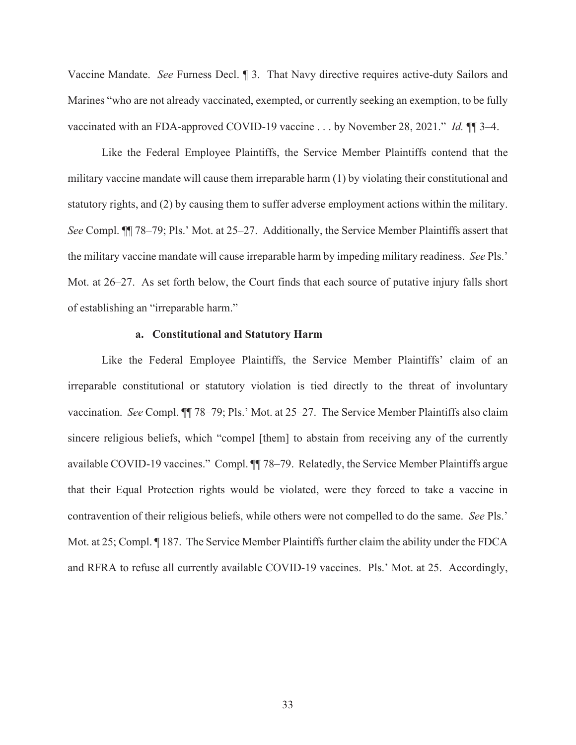Vaccine Mandate. *See* Furness Decl. ¶ 3. That Navy directive requires active-duty Sailors and Marines "who are not already vaccinated, exempted, or currently seeking an exemption, to be fully vaccinated with an FDA-approved COVID-19 vaccine . . . by November 28, 2021." *Id.* ¶¶ 3–4.

Like the Federal Employee Plaintiffs, the Service Member Plaintiffs contend that the military vaccine mandate will cause them irreparable harm (1) by violating their constitutional and statutory rights, and (2) by causing them to suffer adverse employment actions within the military. *See* Compl. ¶¶ 78–79; Pls.' Mot. at 25–27. Additionally, the Service Member Plaintiffs assert that the military vaccine mandate will cause irreparable harm by impeding military readiness. *See* Pls.' Mot. at 26–27. As set forth below, the Court finds that each source of putative injury falls short of establishing an "irreparable harm."

### **a. Constitutional and Statutory Harm**

Like the Federal Employee Plaintiffs, the Service Member Plaintiffs' claim of an irreparable constitutional or statutory violation is tied directly to the threat of involuntary vaccination. *See* Compl. ¶¶ 78–79; Pls.' Mot. at 25–27. The Service Member Plaintiffs also claim sincere religious beliefs, which "compel [them] to abstain from receiving any of the currently available COVID-19 vaccines." Compl. ¶¶ 78–79. Relatedly, the Service Member Plaintiffs argue that their Equal Protection rights would be violated, were they forced to take a vaccine in contravention of their religious beliefs, while others were not compelled to do the same. *See* Pls.' Mot. at 25; Compl. ¶ 187. The Service Member Plaintiffs further claim the ability under the FDCA and RFRA to refuse all currently available COVID-19 vaccines. Pls.' Mot. at 25. Accordingly,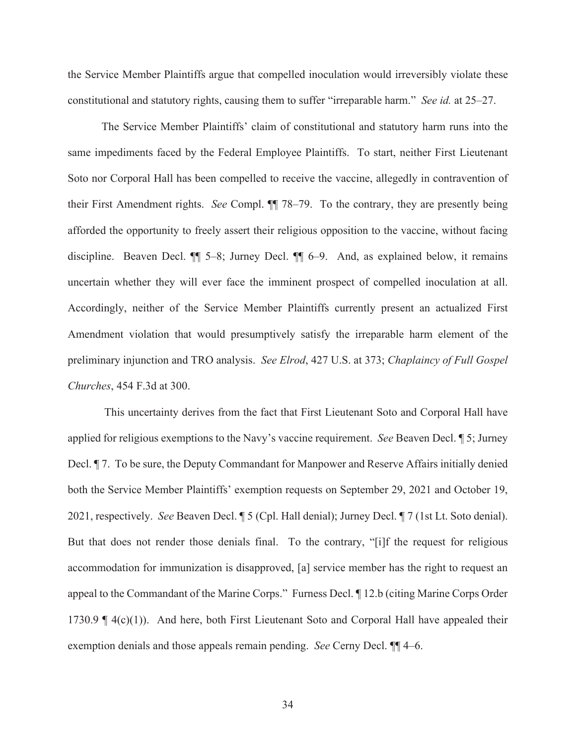the Service Member Plaintiffs argue that compelled inoculation would irreversibly violate these constitutional and statutory rights, causing them to suffer "irreparable harm." *See id.* at 25–27.

The Service Member Plaintiffs' claim of constitutional and statutory harm runs into the same impediments faced by the Federal Employee Plaintiffs. To start, neither First Lieutenant Soto nor Corporal Hall has been compelled to receive the vaccine, allegedly in contravention of their First Amendment rights. *See* Compl. ¶¶ 78–79. To the contrary, they are presently being afforded the opportunity to freely assert their religious opposition to the vaccine, without facing discipline. Beaven Decl. ¶¶ 5–8; Jurney Decl. ¶¶ 6–9. And, as explained below, it remains uncertain whether they will ever face the imminent prospect of compelled inoculation at all. Accordingly, neither of the Service Member Plaintiffs currently present an actualized First Amendment violation that would presumptively satisfy the irreparable harm element of the preliminary injunction and TRO analysis. *See Elrod*, 427 U.S. at 373; *Chaplaincy of Full Gospel Churches*, 454 F.3d at 300.

 This uncertainty derives from the fact that First Lieutenant Soto and Corporal Hall have applied for religious exemptions to the Navy's vaccine requirement. *See* Beaven Decl. ¶ 5; Jurney Decl. ¶ 7. To be sure, the Deputy Commandant for Manpower and Reserve Affairs initially denied both the Service Member Plaintiffs' exemption requests on September 29, 2021 and October 19, 2021, respectively. *See* Beaven Decl. ¶ 5 (Cpl. Hall denial); Jurney Decl. ¶ 7 (1st Lt. Soto denial). But that does not render those denials final. To the contrary, "[i]f the request for religious accommodation for immunization is disapproved, [a] service member has the right to request an appeal to the Commandant of the Marine Corps." Furness Decl. ¶ 12.b (citing Marine Corps Order 1730.9  $\parallel$  4(c)(1)). And here, both First Lieutenant Soto and Corporal Hall have appealed their exemption denials and those appeals remain pending. *See* Cerny Decl. ¶¶ 4–6.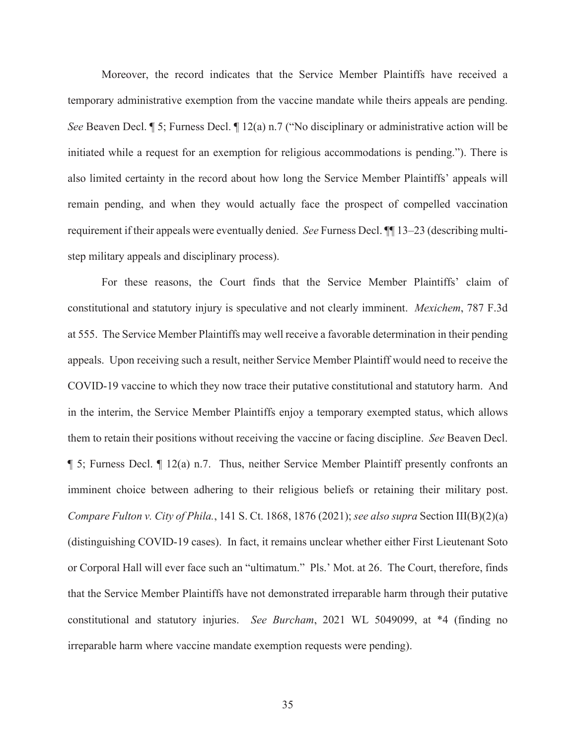Moreover, the record indicates that the Service Member Plaintiffs have received a temporary administrative exemption from the vaccine mandate while theirs appeals are pending. *See* Beaven Decl. *¶* 5; Furness Decl. *¶* 12(a) n.7 ("No disciplinary or administrative action will be initiated while a request for an exemption for religious accommodations is pending."). There is also limited certainty in the record about how long the Service Member Plaintiffs' appeals will remain pending, and when they would actually face the prospect of compelled vaccination requirement if their appeals were eventually denied. *See* Furness Decl. ¶¶ 13–23 (describing multistep military appeals and disciplinary process).

For these reasons, the Court finds that the Service Member Plaintiffs' claim of constitutional and statutory injury is speculative and not clearly imminent. *Mexichem*, 787 F.3d at 555. The Service Member Plaintiffs may well receive a favorable determination in their pending appeals. Upon receiving such a result, neither Service Member Plaintiff would need to receive the COVID-19 vaccine to which they now trace their putative constitutional and statutory harm. And in the interim, the Service Member Plaintiffs enjoy a temporary exempted status, which allows them to retain their positions without receiving the vaccine or facing discipline. *See* Beaven Decl.  $\P$  5; Furness Decl.  $\P$  12(a) n.7. Thus, neither Service Member Plaintiff presently confronts an imminent choice between adhering to their religious beliefs or retaining their military post. *Compare Fulton v. City of Phila.*, 141 S. Ct. 1868, 1876 (2021); *see also supra* Section III(B)(2)(a) (distinguishing COVID-19 cases). In fact, it remains unclear whether either First Lieutenant Soto or Corporal Hall will ever face such an "ultimatum." Pls.' Mot. at 26. The Court, therefore, finds that the Service Member Plaintiffs have not demonstrated irreparable harm through their putative constitutional and statutory injuries. *See Burcham*, 2021 WL 5049099, at \*4 (finding no irreparable harm where vaccine mandate exemption requests were pending).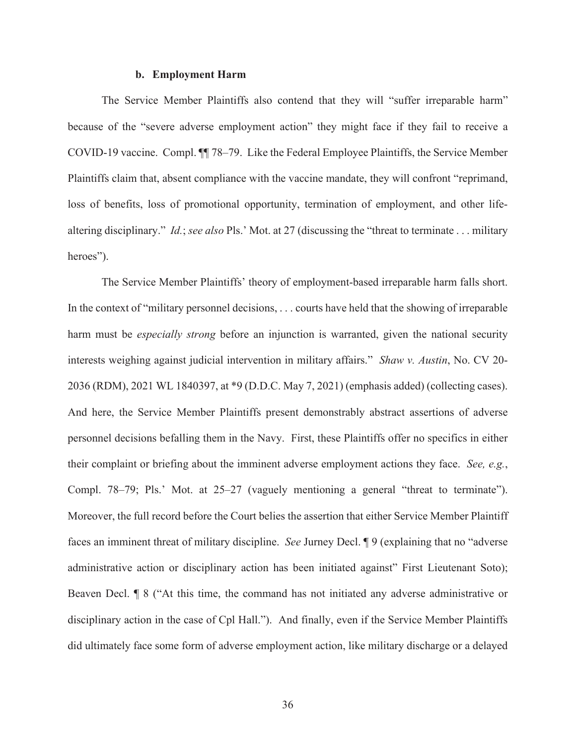#### **b. Employment Harm**

The Service Member Plaintiffs also contend that they will "suffer irreparable harm" because of the "severe adverse employment action" they might face if they fail to receive a COVID-19 vaccine. Compl. ¶¶ 78–79. Like the Federal Employee Plaintiffs, the Service Member Plaintiffs claim that, absent compliance with the vaccine mandate, they will confront "reprimand, loss of benefits, loss of promotional opportunity, termination of employment, and other lifealtering disciplinary." *Id.*; *see also* Pls.' Mot. at 27 (discussing the "threat to terminate . . . military heroes").

The Service Member Plaintiffs' theory of employment-based irreparable harm falls short. In the context of "military personnel decisions, . . . courts have held that the showing of irreparable harm must be *especially strong* before an injunction is warranted, given the national security interests weighing against judicial intervention in military affairs." *Shaw v. Austin*, No. CV 20- 2036 (RDM), 2021 WL 1840397, at \*9 (D.D.C. May 7, 2021) (emphasis added) (collecting cases). And here, the Service Member Plaintiffs present demonstrably abstract assertions of adverse personnel decisions befalling them in the Navy. First, these Plaintiffs offer no specifics in either their complaint or briefing about the imminent adverse employment actions they face. *See, e.g.*, Compl. 78–79; Pls.' Mot. at 25–27 (vaguely mentioning a general "threat to terminate"). Moreover, the full record before the Court belies the assertion that either Service Member Plaintiff faces an imminent threat of military discipline. *See* Jurney Decl. ¶ 9 (explaining that no "adverse administrative action or disciplinary action has been initiated against" First Lieutenant Soto); Beaven Decl. ¶ 8 ("At this time, the command has not initiated any adverse administrative or disciplinary action in the case of Cpl Hall."). And finally, even if the Service Member Plaintiffs did ultimately face some form of adverse employment action, like military discharge or a delayed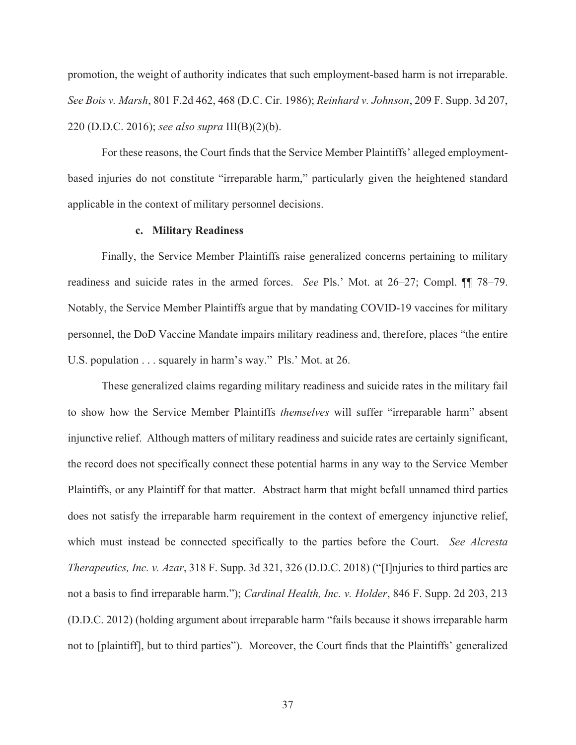promotion, the weight of authority indicates that such employment-based harm is not irreparable. *See Bois v. Marsh*, 801 F.2d 462, 468 (D.C. Cir. 1986); *Reinhard v. Johnson*, 209 F. Supp. 3d 207, 220 (D.D.C. 2016); *see also supra* III(B)(2)(b).

For these reasons, the Court finds that the Service Member Plaintiffs' alleged employmentbased injuries do not constitute "irreparable harm," particularly given the heightened standard applicable in the context of military personnel decisions.

# **c. Military Readiness**

Finally, the Service Member Plaintiffs raise generalized concerns pertaining to military readiness and suicide rates in the armed forces. *See* Pls.' Mot. at 26–27; Compl. ¶¶ 78–79. Notably, the Service Member Plaintiffs argue that by mandating COVID-19 vaccines for military personnel, the DoD Vaccine Mandate impairs military readiness and, therefore, places "the entire U.S. population . . . squarely in harm's way." Pls.' Mot. at 26.

These generalized claims regarding military readiness and suicide rates in the military fail to show how the Service Member Plaintiffs *themselves* will suffer "irreparable harm" absent injunctive relief. Although matters of military readiness and suicide rates are certainly significant, the record does not specifically connect these potential harms in any way to the Service Member Plaintiffs, or any Plaintiff for that matter. Abstract harm that might befall unnamed third parties does not satisfy the irreparable harm requirement in the context of emergency injunctive relief, which must instead be connected specifically to the parties before the Court. *See Alcresta Therapeutics, Inc. v. Azar*, 318 F. Supp. 3d 321, 326 (D.D.C. 2018) ("[I]njuries to third parties are not a basis to find irreparable harm."); *Cardinal Health, Inc. v. Holder*, 846 F. Supp. 2d 203, 213 (D.D.C. 2012) (holding argument about irreparable harm "fails because it shows irreparable harm not to [plaintiff], but to third parties"). Moreover, the Court finds that the Plaintiffs' generalized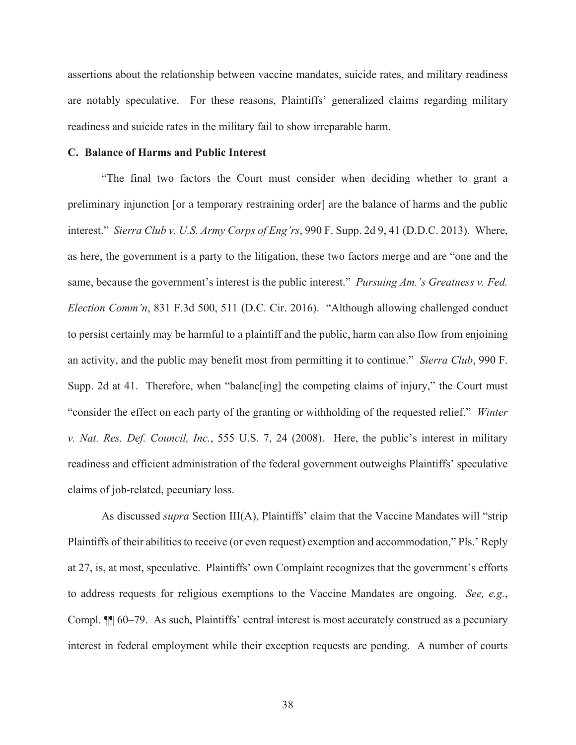assertions about the relationship between vaccine mandates, suicide rates, and military readiness are notably speculative. For these reasons, Plaintiffs' generalized claims regarding military readiness and suicide rates in the military fail to show irreparable harm.

# **C. Balance of Harms and Public Interest**

"The final two factors the Court must consider when deciding whether to grant a preliminary injunction [or a temporary restraining order] are the balance of harms and the public interest." *Sierra Club v. U.S. Army Corps of Eng'rs*, 990 F. Supp. 2d 9, 41 (D.D.C. 2013). Where, as here, the government is a party to the litigation, these two factors merge and are "one and the same, because the government's interest is the public interest." *Pursuing Am.'s Greatness v. Fed. Election Comm'n*, 831 F.3d 500, 511 (D.C. Cir. 2016). "Although allowing challenged conduct to persist certainly may be harmful to a plaintiff and the public, harm can also flow from enjoining an activity, and the public may benefit most from permitting it to continue." *Sierra Club*, 990 F. Supp. 2d at 41. Therefore, when "balanc[ing] the competing claims of injury," the Court must "consider the effect on each party of the granting or withholding of the requested relief." *Winter v. Nat. Res. Def. Council, Inc.*, 555 U.S. 7, 24 (2008). Here, the public's interest in military readiness and efficient administration of the federal government outweighs Plaintiffs' speculative claims of job-related, pecuniary loss.

As discussed *supra* Section III(A), Plaintiffs' claim that the Vaccine Mandates will "strip Plaintiffs of their abilities to receive (or even request) exemption and accommodation," Pls.' Reply at 27, is, at most, speculative. Plaintiffs' own Complaint recognizes that the government's efforts to address requests for religious exemptions to the Vaccine Mandates are ongoing. *See, e.g.*, Compl. ¶¶ 60–79. As such, Plaintiffs' central interest is most accurately construed as a pecuniary interest in federal employment while their exception requests are pending. A number of courts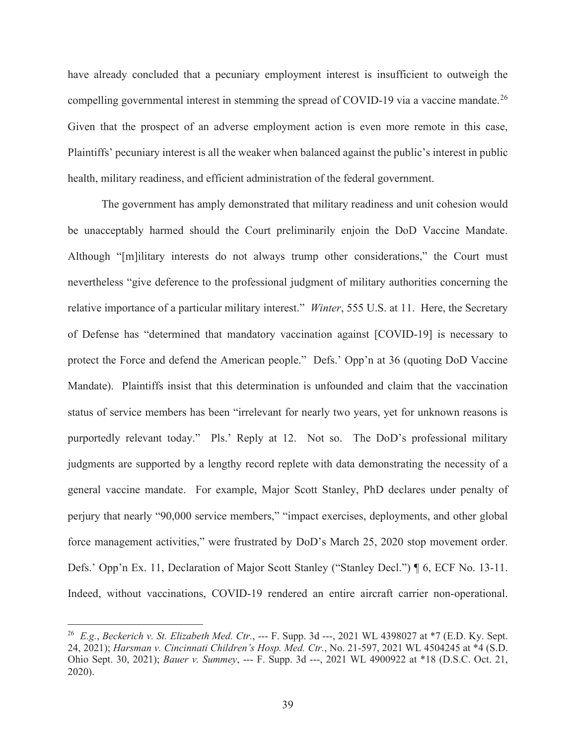have already concluded that a pecuniary employment interest is insufficient to outweigh the compelling governmental interest in stemming the spread of COVID-19 via a vaccine mandate.<sup>26</sup> Given that the prospect of an adverse employment action is even more remote in this case, Plaintiffs' pecuniary interest is all the weaker when balanced against the public's interest in public health, military readiness, and efficient administration of the federal government.

The government has amply demonstrated that military readiness and unit cohesion would be unacceptably harmed should the Court preliminarily enjoin the DoD Vaccine Mandate. Although "[m]ilitary interests do not always trump other considerations," the Court must nevertheless "give deference to the professional judgment of military authorities concerning the relative importance of a particular military interest." *Winter*, 555 U.S. at 11. Here, the Secretary of Defense has "determined that mandatory vaccination against [COVID-19] is necessary to protect the Force and defend the American people." Defs.' Opp'n at 36 (quoting DoD Vaccine Mandate). Plaintiffs insist that this determination is unfounded and claim that the vaccination status of service members has been "irrelevant for nearly two years, yet for unknown reasons is purportedly relevant today." Pls.' Reply at 12. Not so. The DoD's professional military judgments are supported by a lengthy record replete with data demonstrating the necessity of a general vaccine mandate. For example, Major Scott Stanley, PhD declares under penalty of perjury that nearly "90,000 service members," "impact exercises, deployments, and other global force management activities," were frustrated by DoD's March 25, 2020 stop movement order. Defs.' Opp'n Ex. 11, Declaration of Major Scott Stanley ("Stanley Decl.") ¶ 6, ECF No. 13-11. Indeed, without vaccinations, COVID-19 rendered an entire aircraft carrier non-operational.

<sup>26</sup> *E.g.*, *Beckerich v. St. Elizabeth Med. Ctr.*, --- F. Supp. 3d ---, 2021 WL 4398027 at \*7 (E.D. Ky. Sept. 24, 2021); *Harsman v. Cincinnati Children's Hosp. Med. Ctr.*, No. 21-597, 2021 WL 4504245 at \*4 (S.D. Ohio Sept. 30, 2021); *Bauer v. Summey*, --- F. Supp. 3d ---, 2021 WL 4900922 at \*18 (D.S.C. Oct. 21, 2020).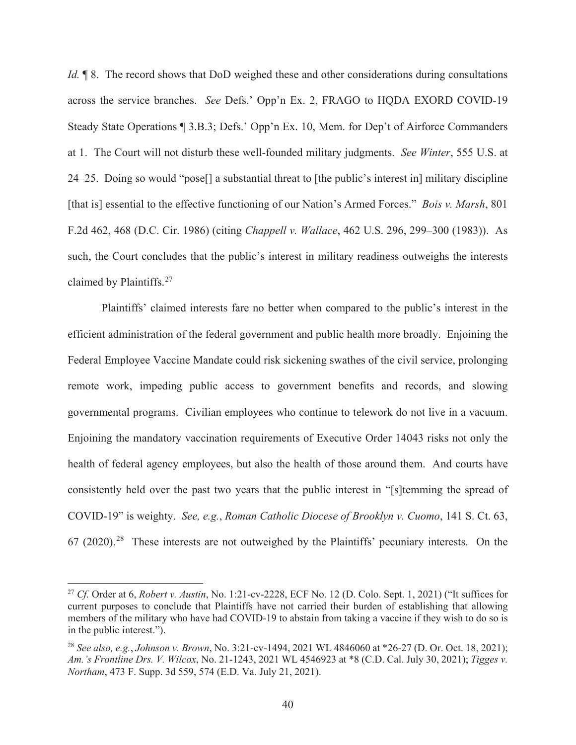*Id.*  $\parallel$  8. The record shows that DoD weighed these and other considerations during consultations across the service branches. *See* Defs.' Opp'n Ex. 2, FRAGO to HQDA EXORD COVID-19 Steady State Operations ¶ 3.B.3; Defs.' Opp'n Ex. 10, Mem. for Dep't of Airforce Commanders at 1. The Court will not disturb these well-founded military judgments. *See Winter*, 555 U.S. at 24–25. Doing so would "pose[] a substantial threat to [the public's interest in] military discipline [that is] essential to the effective functioning of our Nation's Armed Forces." *Bois v. Marsh*, 801 F.2d 462, 468 (D.C. Cir. 1986) (citing *Chappell v. Wallace*, 462 U.S. 296, 299–300 (1983)). As such, the Court concludes that the public's interest in military readiness outweighs the interests claimed by Plaintiffs.<sup>27</sup>

Plaintiffs' claimed interests fare no better when compared to the public's interest in the efficient administration of the federal government and public health more broadly. Enjoining the Federal Employee Vaccine Mandate could risk sickening swathes of the civil service, prolonging remote work, impeding public access to government benefits and records, and slowing governmental programs. Civilian employees who continue to telework do not live in a vacuum. Enjoining the mandatory vaccination requirements of Executive Order 14043 risks not only the health of federal agency employees, but also the health of those around them. And courts have consistently held over the past two years that the public interest in "[s]temming the spread of COVID-19" is weighty. *See, e.g.*, *Roman Catholic Diocese of Brooklyn v. Cuomo*, 141 S. Ct. 63,  $67$  (2020).<sup>28</sup> These interests are not outweighed by the Plaintiffs' pecuniary interests. On the

<sup>27</sup> *Cf.* Order at 6, *Robert v. Austin*, No. 1:21-cv-2228, ECF No. 12 (D. Colo. Sept. 1, 2021) ("It suffices for current purposes to conclude that Plaintiffs have not carried their burden of establishing that allowing members of the military who have had COVID-19 to abstain from taking a vaccine if they wish to do so is in the public interest.").

<sup>28</sup> *See also, e.g.*, *Johnson v. Brown*, No. 3:21-cv-1494, 2021 WL 4846060 at \*26-27 (D. Or. Oct. 18, 2021); *Am.'s Frontline Drs. V. Wilcox*, No. 21-1243, 2021 WL 4546923 at \*8 (C.D. Cal. July 30, 2021); *Tigges v. Northam*, 473 F. Supp. 3d 559, 574 (E.D. Va. July 21, 2021).